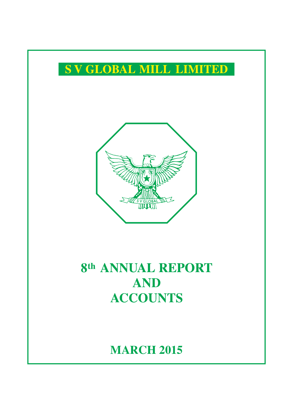

## 8th ANNUAL REPORT **AND ACCOUNTS**

## **MARCH 2015**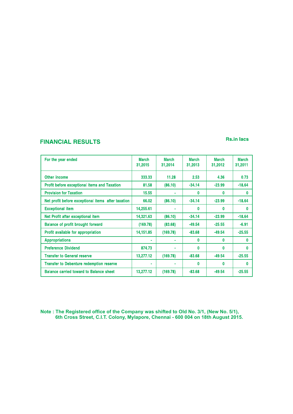### **FINANCIAL RESULTS**

### **Rs.in lacs**

| For the year ended                                  | <b>March</b><br>31,2015 | <b>March</b><br>31,2014 | <b>March</b><br>31,2013 | <b>March</b><br>31,2012 | <b>March</b><br>31,2011 |
|-----------------------------------------------------|-------------------------|-------------------------|-------------------------|-------------------------|-------------------------|
| <b>Other income</b>                                 | 333.33                  | 11.28                   | 2.53                    | 4.36                    | 0.73                    |
| <b>Profit before exceptional items and Taxation</b> | 81.58                   | (86.10)                 | $-34.14$                | $-23.99$                | $-18.64$                |
| <b>Provision for Taxation</b>                       | 15,55                   | ۰                       | $\mathbf{0}$            | $\mathbf{0}$            | 0                       |
| Net profit before exceptional items after taxation  | 66.02                   | (86.10)                 | $-34.14$                | $-23.99$                | $-18,64$                |
| <b>Exceptional item</b>                             | 14,255.61               |                         | $\Omega$                | $\Omega$                | $\mathbf{0}$            |
| Net Profit after exceptional item                   | 14,321.63               | (86.10)                 | $-34.14$                | $-23.99$                | $-18,64$                |
| <b>Balance of profit brought forward</b>            | (169.78)                | (83.68)                 | $-49.54$                | $-25.55$                | $-6.91$                 |
| Profit available for appropriation                  | 14,151.85               | (169.78)                | $-83.68$                | $-49.54$                | $-25.55$                |
| <b>Appropriations</b>                               | m.                      |                         | $\mathbf{0}$            | $\mathbf{0}$            | 0                       |
| <b>Preference Dividend</b>                          | 874.73                  |                         | $\mathbf{0}$            | $\mathbf{0}$            | n                       |
| <b>Transfer to General reserve</b>                  | 13,277.12               | (169.78)                | $-83.68$                | $-49.54$                | $-25.55$                |
| <b>Transfer to Debenture redemption reserve</b>     | m.                      |                         | $\mathbf{0}$            | $\Omega$                | $\mathbf{0}$            |
| <b>Balance carried toward to Balance sheet</b>      | 13,277,12               | (169.78)                | $-83.68$                | $-49.54$                | $-25.55$                |

**Note : The Registered office of the Company was shifted to Old No. 3/1, (New No. 5/1), 6th Cross Street, C.I.T. Colony, Mylapore, Chennai - 600 004 on 18th August 2015.**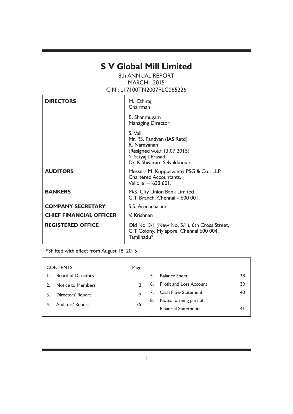## **S V Global Mill Limited**

8th ANNUAL REPORT MARCH - 2015 CIN : L17100TN2007PLC065226

| <b>DIRECTORS</b>               | M. Ethiraj<br>Chairman                                                                                                                     |
|--------------------------------|--------------------------------------------------------------------------------------------------------------------------------------------|
|                                | E. Shanmugam<br><b>Managing Director</b>                                                                                                   |
|                                | S. Valli<br>Mr. P.S. Pandyan (IAS Retd)<br>R. Narayanan<br>(Resigned w.e.f 13.07.2015)<br>Y. Satyajit Prasad<br>Dr. K.Shivaram Selvakkumar |
| <b>AUDITORS</b>                | Messers M. Kuppuswamy PSG & Co., LLP<br><b>Chartered Accountants,</b><br>Vellore $-632601$ .                                               |
| <b>BANKERS</b>                 | M/S. City Union Bank Limited<br>G.T. Branch, Chennai - 600 001.                                                                            |
| <b>COMPANY SECRETARY</b>       | S.S. Arunachalam                                                                                                                           |
| <b>CHIEF FINANCIAL OFFICER</b> | V. Krishnan                                                                                                                                |
| <b>REGISTERED OFFICE</b>       | Old No. 3/1 (New No. 5/1), 6th Cross Street,<br>CIT Colony, Mylapore, Chennai 600 004.<br>Tamilnadu*                                       |

\*Shifted with effect from August 18, 2015

| <b>CONTENTS</b><br>Page   |    |                               |    |
|---------------------------|----|-------------------------------|----|
| <b>Board of Directors</b> |    | <b>Balance Sheet</b><br>5.    | 38 |
| <b>Notice to Members</b>  |    | Profit and Loss Account<br>6. | 39 |
| Directors' Report<br>3.   |    | <b>Cash Flow Statement</b>    | 40 |
| Auditors' Report<br>4.    | 35 | Notes forming part of<br>8.   |    |
|                           |    | <b>Financial Statements</b>   |    |
|                           |    |                               |    |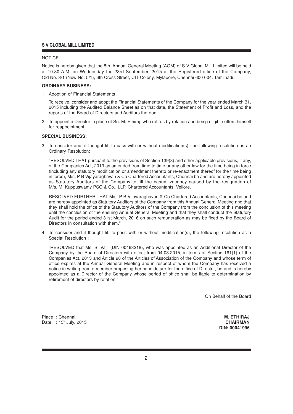#### **NOTICE**

Notice is hereby given that the 8th Annual General Meeting (AGM) of S V Global Mill Limited will be held at 10.30 A.M. on Wednesday the 23rd September, 2015 at the Registered office of the Company, Old No. 3/1 (New No. 5/1), 6th Cross Street, CIT Colony, Mylapore, Chennai 600 004. Tamilnadu

#### **ORDINARY BUSINESS:**

1. Adoption of Financial Statements

To receive, consider and adopt the Financial Statements of the Company for the year ended March 31, 2015 including the Audited Balance Sheet as on that date, the Statement of Profit and Loss, and the reports of the Board of Directors and Auditors thereon.

2. To appoint a Director in place of Sri. M. Ethiraj, who retires by rotation and being eligible offers himself for reappointment.

#### **SPECIAL BUSINESS:**

3. To consider and, if thought fit, to pass with or without modification(s), the following resolution as an Ordinary Resolution:

"RESOLVED THAT pursuant to the provisions of Section 139(8) and other applicable provisions, if any, of the Companies Act, 2013 as amended from time to time or any other law for the time being in force (including any statutory modification or amendment thereto or re-enactment thereof for the time being in force), M/s. P B Vijayaraghavan & Co Chartered Accountants, Chennai be and are hereby appointed as Statutory Auditors of the Company to fill the casual vacancy caused by the resignation of M/s. M. Kuppuswamy PSG & Co., LLP, Chartered Accountants, Vellore.

RESOLVED FURTHER THAT M/s. P B Vijayaraghavan & Co Chartered Accountants, Chennai be and are hereby appointed as Statutory Auditors of the Company from this Annual General Meeting and that they shall hold the office of the Statutory Auditors of the Company from the conclusion of this meeting until the conclusion of the ensuing Annual General Meeting and that they shall conduct the Statutory Audit for the period ended 31st March, 2016 on such remuneration as may be fixed by the Board of Directors in consultation with them."

4. To consider and if thought fit, to pass with or without modification(s), the following resolution as a Special Resolution :

"RESOLVED that Ms. S. Valli (DIN 00468218), who was appointed as an Additional Director of the Company by the Board of Directors with effect from 04.03.2015, in terms of Section 161(1) of the Companies Act, 2013 and Article 98 of the Articles of Association of the Company and whose term of office expires at the Annual General Meeting and in respect of whom the Company has received a notice in writing from a member proposing her candidature for the office of Director, be and is hereby appointed as a Director of the Company whose period of office shall be liable to determination by retirement of directors by rotation."

On Behalf of the Board

Place : Chennai **M. ETHIRAJ** Date : 13h July, 2015

**CHAIRMAN DIN: 00041996**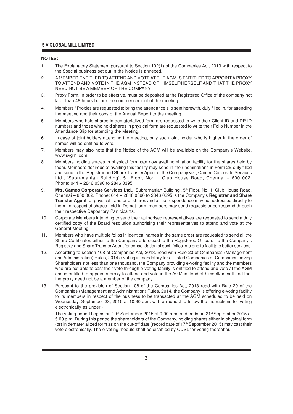### **NOTES:**

- 1. The Explanatory Statement pursuant to Section 102(1) of the Companies Act, 2013 with respect to the Special business set out in the Notice is annexed.
- 2. A MEMBER ENTITLED TO ATTEND AND VOTE AT THE AGM IS ENTITLED TO APPOINT A PROXY TO ATTEND AND VOTE IN THE AGM INSTEAD OF HIMSELF/HERSELF AND THAT THE PROXY NEED NOT BE A MEMBER OF THE COMPANY.
- 3. Proxy Form, in order to be effective, must be deposited at the Registered Office of the company not later than 48 hours before the commencement of the meeting.
- 4. Members / Proxies are requested to bring the attendance slip sent herewith, duly filled in, for attending the meeting and their copy of the Annual Report to the meeting.
- 5. Members who hold shares in dematerialized form are requested to write their Client ID and DP ID numbers and those who hold shares in physical form are requested to write their Folio Number in the Attendance Slip for attending the Meeting.
- 6. In case of joint holders attending the meeting, only such joint holder who is higher in the order of names will be entitled to vote.
- 7. Members may also note that the Notice of the AGM will be available on the Company's Website, www.svgml.com.
- 8. Members holding shares in physical form can now avail nomination facility for the shares held by them. Members desirous of availing this facility may send in their nominations in Form 2B duly filled and send to the Registrar and Share Transfer Agent of the Company viz., Cameo Corporate Services Ltd., 'Subramanian Building', 5<sup>th</sup> Floor, No: 1, Club House Road, Chennai - 600 002. Phone: 044 – 2846 0390 to 2846 0395.
- 9. M/s. Cameo Corporate Services Ltd., 'Subramanian Building', 5<sup>th</sup> Floor, No: 1, Club House Road, Chennai – 600 002. Phone: 044 – 2846 0390 to 2846 0395 is the Company's **Registrar and Share Transfer Agent** for physical transfer of shares and all correspondence may be addressed directly to them. In respect of shares held in Demat form, members may send requests or correspond through their respective Depository Participants.
- 10. Corporate Members intending to send their authorised representatives are requested to send a duly certified copy of the Board resolution authorising their representatives to attend and vote at the General Meeting.
- 11. Members who have multiple folios in identical names in the same order are requested to send all the Share Certificates either to the Company addressed to the Registered Office or to the Company's Registrar and Share Transfer Agent for consolidation of such folios into one to facilitate better services.
- 12. According to section 108 of Companies Act, 2013, read with Rule 20 of Companies (Management and Administration) Rules, 2014 e-voting is mandatory for all listed Companies or Companies having Shareholders not less than one thousand, the Company providing e-voting facility and the members who are not able to cast their vote through e-voting facility is entitled to attend and vote at the AGM and is entitled to appoint a proxy to attend and vote in the AGM instead of himself/herself and that the proxy need not be a member of the company.
- 13. Pursuant to the provision of Section 108 of the Companies Act, 2013 read with Rule 20 of the Companies (Management and Administration) Rules, 2014, the Company is offering e-voting facility to its members in respect of the business to be transacted at the AGM scheduled to be held on Wednesday, September 23, 2015 at 10.30 a.m. with a request to follow the instructions for voting electronically as under:-

The voting period begins on 19<sup>th</sup> September 2015 at 9.00 a.m. and ends on 21<sup>st</sup> September 2015 at 5.00 p.m. During this period the shareholders of the Company, holding shares either in physical form (or) in dematerialized form as on the cut-off date (record date of  $17<sup>th</sup>$  September 2015) may cast their vote electronically. The e-voting module shall be disabled by CDSL for voting thereafter.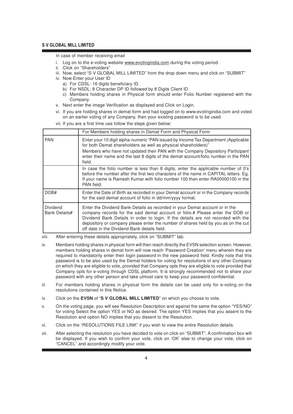- In case of member receiving email
- i. Log on to the e-voting website www.evotingindia.com during the voting period.
- ii. Click on "Shareholders"
- iii. Now, select "S V GLOBAL MILL LIMITED" from the drop down menu and click on "SUBMIT"
- iv. Now Enter your User ID
	- a) For CDSL: 16 digits beneficiary ID.
	- b) For NSDL: 8 Character DP ID followed by 8 Digits Client ID
	- c) Members holding shares in Physical form should enter Folio Number registered with the Company.
- v. Next enter the image Verification as displayed and Click on Login.
- vi. If you are holding shares in demat form and had logged on to www.evotingindia.com and voted on an earlier voting of any Company, then your existing password is to be used.
- vii. If you are a first time use follow the steps given below:

|                                  | For Members holding shares in Demat Form and Physical Form                                                                                                                                                                                                                                                                                                                             |
|----------------------------------|----------------------------------------------------------------------------------------------------------------------------------------------------------------------------------------------------------------------------------------------------------------------------------------------------------------------------------------------------------------------------------------|
| <b>PAN</b>                       | Enter your 10 digit alpha-numeric "PAN issued by Income Tax Department (Applicable<br>for both Demat shareholders as well as physical shareholders)"<br>Members who have not updated their PAN with the Company Depository Participant<br>enter their name and the last 8 digits of the demat account/folio number in the PAN<br>field.                                                |
|                                  | In case the folio number is less than 8 digits, enter the applicable number of 0's<br>before the number after the first two characters of the name in CAPITAL letters. Eg.<br>If your name is Ramesh Kumar with folio number 100 then enter RA00000100 in the<br>PAN field.                                                                                                            |
| DOB#                             | Enter the Date of Birth as recorded in your Demat account or in the Company records<br>for the said demat account of folio in dd/mm/yyyy format.                                                                                                                                                                                                                                       |
| <b>Dividend</b><br>Bank Details# | Enter the Dividend Bank Details as recorded in your Demat account or in the<br>company records for the said demat account or folio.# Please enter the DOB or<br>Dividend Bank Details in order to login. If the details are not recorded with the<br>depository or company please enter the number of shares held by you as on the cut<br>off date in the Dividend Bank details field. |

- viii. After entering these details appropriately, click on "SUBMIT" tab.
- ix. Members holding shares in physical form will then reach directly the EVSN selection screen. However, members holding shares in demat form will now reach 'Password Creation' menu wherein they are required to mandatorily enter their login password in the new password field. Kindly note that this password is to be also used by the Demat holders for voting for resolutions of any other Company on which they are eligible to vote, provided that Company opts they are eligible to vote provided that Company opts for e-voting through CDSL platform. It is strongly recommended not to share your password with any other person and take utmost care to keep your password confidential.
- iii. For members holding shares in physical form the details can be used only for e-voting on the resolutions contained in this Notice.
- iv. Click on the **EVSN** of "**S V GLOBAL MILL LIMITED**" on which you choose to vote.
- v. On the voting page, you will see Resolution Description and against the same the option "YES/NO" for voting Select the option YES or NO as desired. The option YES implies that you assent to the Resolution and option NO implies that you dissent to the Resolution.
- vi. Click on the "RESOLUTIONS FILE LINK" if you wish to view the entire Resolution details.
- vii. After selecting the resolution you have decided to vote on click on "SUBMIT". A confirmation box will be displayed. If you wish to confirm your vote, click on 'OK' else to change your vote, click on "CANCEL" and accordingly modify your vote.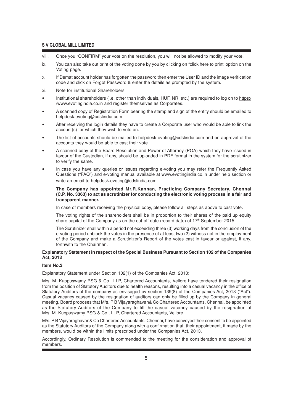- viii. Once you "CONFIRM" your vote on the resolution, you will not be allowed to modify your vote.
- ix. You can also take out print of the voting done by you by clicking on "click here to print' option on the Voting page.
- x. If Demat account holder has forgotten the password then enter the User ID and the image verification code and click on Forgot Password & enter the details as prompted by the system.
- xi. Note for institutional Shareholders
- Institutional shareholders (i.e. other than individuals, HUF, NRI etc.) are required to log on to https:/ /www.evotingindia.co.in and register themselves as Corporates.
- A scanned copy of Registration Form bearing the stamp and sign of the entity should be emailed to helpdesk.evoting@cdslindia.com
- After receiving the login details they have to create a Corporate user who would be able to link the account(s) for which they wish to vote on.
- The list of accounts should be mailed to helpdesk evoting@cdslindia.com and on approval of the accounts they would be able to cast their vote.
- A scanned copy of the Board Resolution and Power of Attorney (POA) which they have issued in favour of the Custodian, if any, should be uploaded in PDF format in the system for the scrutinizer to verify the same.
- In case you have any queries or issues regarding e-voting you may refer the Frequently Asked Questions ("FAQ") and e-voting manual available at www.evotingindia.co.in under help section or write an email to helpdesk.evoting@cdslindia.com

### **The Company has appointed Mr.R.Kannan, Practicing Company Secretary, Chennai (C.P. No. 3363) to act as scrutinizer for conducting the electronic voting process in a fair and transparent manner.**

In case of members receiving the physical copy, please follow all steps as above to cast vote.

The voting rights of the shareholders shall be in proportion to their shares of the paid up equity share capital of the Company as on the cut-off date (record date) of  $17<sup>th</sup>$  September 2015.

The Scrutinizer shall within a period not exceeding three (3) working days from the conclusion of the e-voting period unblock the votes in the presence of at least two (2) witness not in the employment of the Company and make a Scrutinizer's Report of the votes cast in favour or against, if any, forthwith to the Chairman.

### **Explanatory Statement in respect of the Special Business Pursuant to Section 102 of the Companies Act, 2013**

#### **Item No.3**

Explanatory Statement under Section 102(1) of the Companies Act, 2013:

M/s. M. Kuppuswamy PSG & Co., LLP, Chartered Accountants, Vellore have tendered their resignation from the position of Statutory Auditors due to health reasons, resulting into a casual vacancy in the office of Statutory Auditors of the company as envisaged by section 139(8) of the Companies Act, 2013 ("Act"). Casual vacancy caused by the resignation of auditors can only be filled up by the Company in general meeting. Board proposes that M/s. P B Vijayaraghavan& Co Chartered Accountants, Chennai, be appointed as the Statutory Auditors of the Company to fill the casual vacancy caused by the resignation of M/s. M. Kuppuswamy PSG & Co., LLP, Chartered Accountants, Vellore.

M/s. P B Vijayaraghavan& Co Chartered Accountants, Chennai, have conveyed their consent to be appointed as the Statutory Auditors of the Company along with a confirmation that, their appointment, if made by the members, would be within the limits prescribed under the Companies Act, 2013.

Accordingly, Ordinary Resolution is commended to the meeting for the consideration and approval of members.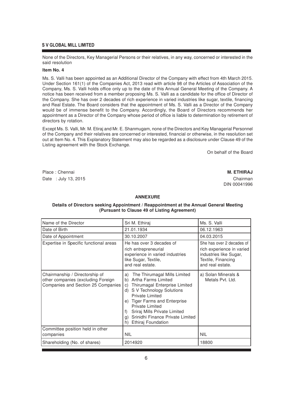None of the Directors, Key Managerial Persons or their relatives, in any way, concerned or interested in the said resolution

#### **Item No. 4**

Ms. S. Valli has been appointed as an Additional Director of the Company with effect from 4th March 2015. Under Section 161(1) of the Companies Act, 2013 read with article 98 of the Articles of Association of the Company, Ms. S. Valli holds office only up to the date of this Annual General Meeting of the Company. A notice has been received from a member proposing Ms. S. Valli as a candidate for the office of Director of the Company. She has over 2 decades of rich experience in varied industries like sugar, textile, financing and Real Estate. The Board considers that the appointment of Ms. S. Valli as a Director of the Company would be of immense benefit to the Company. Accordingly, the Board of Directors recommends her appointment as a Director of the Company whose period of office is liable to determination by retirement of directors by rotation.

Except Ms. S. Valli, Mr. M. Etiraj and Mr. E. Shanmugam, none of the Directors and Key Managerial Personnel of the Company and their relatives are concerned or interested, financial or otherwise, in the resolution set out at Item No. 4. This Explanatory Statement may also be regarded as a disclosure under Clause 49 of the Listing agreement with the Stock Exchange.

On behalf of the Board

Place : Chennai **M. ETHIRAJ** Date : July 13, 2015 **Chairman** 

DIN 00041996

### **ANNEXURE**

### **Details of Directors seeking Appointment / Reappointment at the Annual General Meeting (Pursuant to Clause 49 of Listing Agreement)**

| Name of the Director                                                                                       | Sri M. Ethirai                                                                                                                                                                                                                                                                                                                     | Ms. S. Valli                                                                                                               |
|------------------------------------------------------------------------------------------------------------|------------------------------------------------------------------------------------------------------------------------------------------------------------------------------------------------------------------------------------------------------------------------------------------------------------------------------------|----------------------------------------------------------------------------------------------------------------------------|
| Date of Birth                                                                                              | 21.01.1934                                                                                                                                                                                                                                                                                                                         | 06.12.1963                                                                                                                 |
| Date of Appointment                                                                                        | 30.10.2007                                                                                                                                                                                                                                                                                                                         | 04.03.2015                                                                                                                 |
| Expertise in Specific functional areas                                                                     | He has over 3 decades of<br>rich entrepreneurial<br>experience in varied industries<br>like Sugar, Textile,<br>and real estate.                                                                                                                                                                                                    | She has over 2 decades of<br>rich experience in varied<br>industries like Sugar,<br>Textile, Financing<br>and real estate. |
| Chairmanship / Directorship of<br>other companies (excluding Foreign<br>Companies and Section 25 Companies | The Thirumagal Mills Limited<br>a)<br>Artha Farms Limited<br>b)<br>Thirumagal Enterprise Limited<br>C)<br>S V Technology Solutions<br>d)<br>Private Limited<br>e) Tiger Farms and Enterprise<br><b>Private Limited</b><br>Sriraj Mills Private Limited<br>f)<br>Srinidhi Finance Private Limited<br>g)<br>Ethiraj Foundation<br>h) | a) Solan Minerals &<br>Metals Pyt. Ltd.                                                                                    |
| Committee position held in other<br>companies                                                              | NIL                                                                                                                                                                                                                                                                                                                                | <b>NIL</b>                                                                                                                 |
| Shareholding (No. of shares)                                                                               | 2014920                                                                                                                                                                                                                                                                                                                            | 18800                                                                                                                      |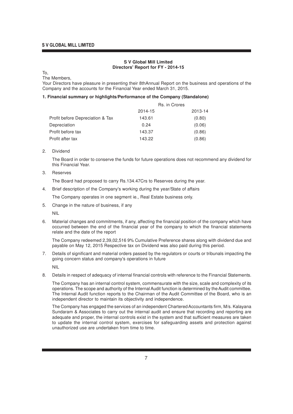#### **S V Global Mill Limited Directors' Report for FY - 2014-15**

To,

The Members,

Your Directors have pleasure in presenting their 8thAnnual Report on the business and operations of the Company and the accounts for the Financial Year ended March 31, 2015.

### **1. Financial summary or highlights/Performance of the Company (Standalone)**

|                                  | Rs. in Crores |         |  |
|----------------------------------|---------------|---------|--|
|                                  | 2014-15       | 2013-14 |  |
| Profit before Depreciation & Tax | 143.61        | (0.80)  |  |
| Depreciation                     | 0.24          | (0.06)  |  |
| Profit before tax                | 143.37        | (0.86)  |  |
| Profit after tax                 | 143.22        | (0.86)  |  |

2. Dividend

The Board in order to conserve the funds for future operations does not recommend any dividend for this Financial Year.

3. Reserves

The Board had proposed to carry Rs.134.47Crs to Reserves during the year.

- 4. Brief description of the Company's working during the year/State of affairs
	- The Company operates in one segment ie., Real Estate business only.
- 5. Change in the nature of business, if any

NIL

6. Material changes and commitments, if any, affecting the financial position of the company which have occurred between the end of the financial year of the company to which the financial statements relate and the date of the report

The Company redeemed 2,39,02,516 9% Cumulative Preference shares along with dividend due and payable on May 12, 2015 Respective tax on Dividend was also paid during this period.

- 7. Details of significant and material orders passed by the regulators or courts or tribunals impacting the going concern status and company's operations in future NIL
	-
- 8. Details in respect of adequacy of internal financial controls with reference to the Financial Statements.

The Company has an internal control system, commensurate with the size, scale and complexity of its operations. The scope and authority of the Internal Audit function is determined by the Audit committee. The Internal Audit function reports to the Chairman of the Audit Committee of the Board, who is an independent director to maintain its objectivity and independence.

The Company has engaged the services of an independent Chartered Accountants firm, M/s. Kalayana Sundaram & Associates to carry out the internal audit and ensure that recording and reporting are adequate and proper, the internal controls exist in the system and that sufficient measures are taken to update the internal control system, exercises for safeguarding assets and protection against unauthorized use are undertaken from time to time.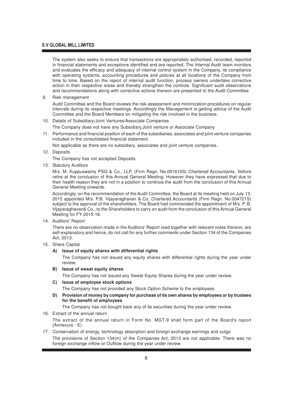The system also seeks to ensure that transactions are appropriately authorised, recorded, reported in financial statements and exceptions identified and are reported. The Internal Audit team monitors and evaluates the efficacy and adequacy of internal control system in the Company, its compliance with operating systems, accounting procedures and policies at all locations of the Company from time to time. Based on the report of internal audit function, process owners undertake corrective action in their respective areas and thereby strengthen the controls. Significant audit observations and recommendations along with corrective actions thereon are presented to the Audit Committee

9. Risk management

Audit Committee and the Board reviews the risk assessment and minimization procedures on regular intervals during its respective meetings. Accordingly the Management is getting advice of the Audit Committee and the Board Members on mitigating the risk involved in the business.

- 10. Details of Subsidiary/Joint Ventures/Associate Companies
- The Company does not have any Subsidiary,Joint venture or Associate Company
- 11. Performance and financial position of each of the subsidiaries, associates and joint venture companies included in the consolidated financial statement.
	- Not applicable as there are no subsidiary, associates and joint venture companies.
- 12. Deposits

The Company has not accepted Deposits.

13. Statutory Auditors

M/s. M. Kuppuswamy PSG & Co., LLP, (Firm Regn. No.001616S) Chartered Accountants, Vellore retire at the conclusion of this Annual General Meeting. However they have expressed that due to their health reason they are not in a position to continue the audit from the conclusion of this Annual General Meeting onwards.

Accordingly, on the recommendation of the Audit Committee, the Board at its meeting held on July 13, 2015 appointed M/s. P.B. Vijayaraghavan & Co, Chartered Accountants (Firm Regn. No:004721S) subject to the approval of the shareholders. The Board had commended the appointment of M/s. P. B. Vijayaraghavan& Co., to the Shareholders to carry on audit from the conclusion of this Annual General Meeting for FY 2015-16.

14. Auditors' Report

There are no observation made in the Auditors' Report read together with relevant notes thereon, are self-explanatory and hence, do not call for any further comments under Section 134 of the Companies Act, 2013.

- 15. Share Capital
	- **A) Issue of equity shares with differential rights**

The Company has not issued any equity shares with differential rights during the year under review.

**B) Issue of sweat equity shares**

The Company has not issued any Sweat Equity Shares during the year under review.

**C) Issue of employee stock options**

The Company has not provided any Stock Option Scheme to the employees.

**D) Provision of money by company for purchase of its own shares by employees or by trustees for the benefit of employees**

The Company has not bought back any of its securities during the year under review.

16. Extract of the annual return

The extract of the annual return in Form No. MGT-9 shall form part of the Board's report (Annexure - E)

17. Conservation of energy, technology absorption and foreign exchange earnings and outgo The provisions of Section 134(m) of the Companies Act, 2013 are not applicable. There was no foreign exchange inflow or Outflow during the year under review.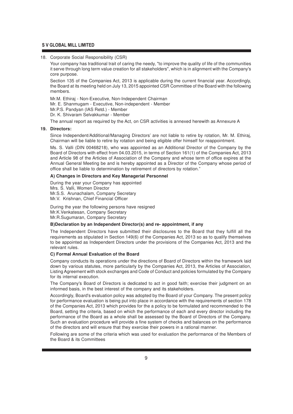18. Corporate Social Responsibility (CSR)

Your company has traditional trait of caring the needy, "to improve the quality of life of the communities it serve through long term value creation for all stakeholders", which is in alignment with the Company's core purpose.

Section 135 of the Companies Act, 2013 is applicable during the current financial year. Accordingly, the Board at its meeting held on July 13, 2015 appointed CSR Committee of the Board with the following members.

Mr.M. Ethiraj - Non-Executive, Non-Independent Chairman Mr. E. Shanmugam - Executive, Non-independent - Member Mr.P.S. Pandyan (IAS Retd.) - Member Dr. K. Shivaram Selvakkumar - Member

The annual report as required by the Act, on CSR activities is annexed herewith as Annexure A

#### **19. Directors:**

Since Independent/Additional/Managing Directors' are not liable to retire by rotation, Mr. M. Ethiraj, Chairman will be liable to retire by rotation and being eligible offer himself for reappointment.

Ms. S. Valli (DIN 00468218), who was appointed as an Additional Director of the Company by the Board of Directors with effect from 04.03.2015, in terms of Section 161(1) of the Companies Act, 2013 and Article 98 of the Articles of Association of the Company and whose term of office expires at the Annual General Meeting be and is hereby appointed as a Director of the Company whose period of office shall be liable to determination by retirement of directors by rotation."

### **A) Changes in Directors and Key Managerial Personnel**

During the year your Company has appointed Mrs. S. Valli, Women Director Mr.S.S. Arunachalam, Company Secretary Mr.V. Krishnan, Chief Financial Officer

During the year the following persons have resigned Mr.K.Venkatesan, Company Secretary Mr.R.Sugumaran, Company Secretary

### **B)Declaration by an Independent Director(s) and re- appointment, if any**

The Independent Directors have submitted their disclosures to the Board that they fulfill all the requirements as stipulated in Section 149(6) of the Companies Act, 2013 so as to qualify themselves to be appointed as Independent Directors under the provisions of the Companies Act, 2013 and the relevant rules.

#### **C) Formal Annual Evaluation of the Board**

Company conducts its operations under the directions of Board of Directors within the framework laid down by various statutes, more particularly by the Companies Act, 2013, the Articles of Association, Listing Agreement with stock exchanges and Code of Conduct and policies formulated by the Company for its internal execution.

The Company's Board of Directors is dedicated to act in good faith; exercise their judgment on an informed basis, in the best interest of the company and its stakeholders.

Accordingly, Board's evaluation policy was adopted by the Board of your Company. The present policy for performance evaluation is being put into place in accordance with the requirements of section 178 of the Companies Act, 2013 which provides for the a policy to be formulated and recommended to the Board, setting the criteria, based on which the performance of each and every director including the performance of the Board as a whole shall be assessed by the Board of Directors of the Company. Such an evaluation procedure will provide a fine system of checks and balances on the performance of the directors and will ensure that they exercise their powers in a rational manner.

Following are some of the criteria which was used for evaluation the performance of the Members of the Board & its Committees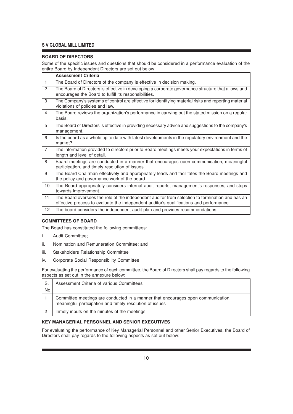### **BOARD OF DIRECTORS**

Some of the specific issues and questions that should be considered in a performance evaluation of the entire Board by Independent Directors are set out below:

|                | <b>Assessment Criteria</b>                                                                                                                                                                 |
|----------------|--------------------------------------------------------------------------------------------------------------------------------------------------------------------------------------------|
| 1              | The Board of Directors of the company is effective in decision making.                                                                                                                     |
| $\overline{2}$ | The Board of Directors is effective in developing a corporate governance structure that allows and<br>encourages the Board to fulfill its responsibilities.                                |
| 3              | The Company's systems of control are effective for identifying material risks and reporting material<br>violations of policies and law.                                                    |
| 4              | The Board reviews the organization's performance in carrying out the stated mission on a regular<br>basis.                                                                                 |
| 5              | The Board of Directors is effective in providing necessary advice and suggestions to the company's<br>management.                                                                          |
| 6              | Is the board as a whole up to date with latest developments in the regulatory environment and the<br>market?                                                                               |
| $\overline{7}$ | The information provided to directors prior to Board meetings meets your expectations in terms of<br>length and level of detail.                                                           |
| 8              | Board meetings are conducted in a manner that encourages open communication, meaningful<br>participation, and timely resolution of issues.                                                 |
| 9              | The Board Chairman effectively and appropriately leads and facilitates the Board meetings and<br>the policy and governance work of the board.                                              |
| 10             | The Board appropriately considers internal audit reports, management's responses, and steps<br>towards improvement.                                                                        |
| 11             | The Board oversees the role of the independent auditor from selection to termination and has an<br>effective process to evaluate the independent auditor's qualifications and performance. |
| 12             | The board considers the independent audit plan and provides recommendations.                                                                                                               |

### **COMMITTEES OF BOARD**

The Board has constituted the following committees:

- i. Audit Committee;
- ii. Nomination and Remuneration Committee; and
- iii. Stakeholders Relationship Committee
- iv. Corporate Social Responsibility Committee;

For evaluating the performance of each committee, the Board of Directors shall pay regards to the following aspects as set out in the annexure below:

| -S  | Assessment Criteria of various Committees                                                                                                    |
|-----|----------------------------------------------------------------------------------------------------------------------------------------------|
| No. |                                                                                                                                              |
|     | Committee meetings are conducted in a manner that encourages open communication,<br>meaningful participation and timely resolution of issues |
| 2   | Timely inputs on the minutes of the meetings                                                                                                 |
|     |                                                                                                                                              |

### **KEY MANAGERIAL PERSONNEL AND SENIOR EXECUTIVES**

For evaluating the performance of Key Managerial Personnel and other Senior Executives, the Board of Directors shall pay regards to the following aspects as set out below: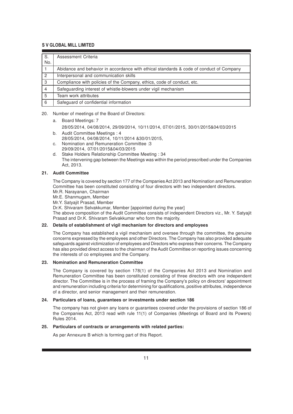| S.<br>No.      | Assessment Criteria                                                                     |
|----------------|-----------------------------------------------------------------------------------------|
|                | Abidance and behavior in accordance with ethical standards & code of conduct of Company |
| $\overline{2}$ | Interpersonal and communication skills                                                  |
| 3              | Compliance with policies of the Company, ethics, code of conduct, etc.                  |
| $\overline{4}$ | Safeguarding interest of whistle-blowers under vigil mechanism                          |
| 5              | Team work attributes                                                                    |
| 6              | Safeguard of confidential information                                                   |

#### 20. Number of meetings of the Board of Directors:

- a. Board Meetings: 7 28/05/2014, 04/08/2014, 29/09/2014, 10/11/2014, 07/01/2015, 30/01/2015&04/03/2015
- b. Audit Committee Meetings : 4 28/05/2014, 04/08/2014, 10/11/2014 &30/01/2015,
- c. Nomination and Remuneration Committee :3 29/09/2014, 07/01/2015&04/03/2015
- d. Stake Holders Relationship Committee Meeting : 34 The intervening gap between the Meetings was within the period prescribed under the Companies Act, 2013.

### **21. Audit Committee**

The Company is covered by section 177 of the Companies Act 2013 and Nomination and Remuneration Committee has been constituted consisting of four directors with two independent directors.

- Mr.R. Narayanan, Chairman
- Mr.E. Shanmugam, Member
- Mr.Y. Satyajit Prasad, Member

Dr.K. Shivaram Selvakkumar, Member [appointed during the year]

The above composition of the Audit Committee consists of independent Directors viz., Mr. Y. Satyajit Prasad and Dr.K. Shivaram Selvakkumar who form the majority.

### **22. Details of establishment of vigil mechanism for directors and employees**

The Company has established a vigil mechanism and oversee through the committee, the genuine concerns expressed by the employees and other Directors. The Company has also provided adequate safeguards against victimization of employees and Directors who express their concerns. The Company has also provided direct access to the chairman of the Audit Committee on reporting issues concerning the interests of co employees and the Company.

### **23. Nomination and Remuneration Committee**

The Company is covered by section 178(1) of the Companies Act 2013 and Nomination and Remuneration Committee has been constituted consisting of three directors with one independent director. The Committee is in the process of framing the Company's policy on directors' appointment and remuneration including criteria for determining for qualifications, positive attributes, independence of a director, and senior management and their remuneration.

#### **24. Particulars of loans, guarantees or investments under section 186**

The company has not given any loans or guarantees covered under the provisions of section 186 of the Companies Act, 2013 read with rule 11(1) of Companies (Meetings of Board and its Powers) Rules 2014.

### **25. Particulars of contracts or arrangements with related parties:**

As per Annexure B which is forming part of this Report.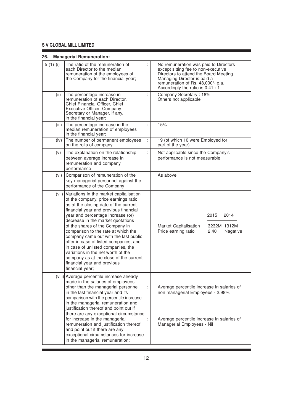### **26. Managerial Remuneration:**

| $5(1)$ (i) |       | The ratio of the remuneration of<br>each Director to the median<br>remuneration of the employees of<br>the Company for the financial year;                                                                                                                                                                                                                                                                                                                                                                                                                                       |    | No remuneration was paid to Directors<br>except sitting fee to non-executive<br>Directors to attend the Board Meeting<br>Managing Director is paid a<br>remuneration of Rs. 48,000/- p.a.<br>Accordingly the ratio is 0.41 : 1 |
|------------|-------|----------------------------------------------------------------------------------------------------------------------------------------------------------------------------------------------------------------------------------------------------------------------------------------------------------------------------------------------------------------------------------------------------------------------------------------------------------------------------------------------------------------------------------------------------------------------------------|----|--------------------------------------------------------------------------------------------------------------------------------------------------------------------------------------------------------------------------------|
|            | (ii)  | The percentage increase in<br>remuneration of each Director,<br>Chief Financial Officer, Chief<br>Executive Officer, Company<br>Secretary or Manager, if any,<br>in the financial year;                                                                                                                                                                                                                                                                                                                                                                                          |    | Company Secretary: 18%<br>Others not applicable                                                                                                                                                                                |
|            | (iii) | The percentage increase in the<br>median remuneration of employees<br>in the financial year;                                                                                                                                                                                                                                                                                                                                                                                                                                                                                     | t  | 15%                                                                                                                                                                                                                            |
|            | (iv)  | The number of permanent employees<br>on the rolls of company                                                                                                                                                                                                                                                                                                                                                                                                                                                                                                                     | ÷. | 19 (of which 10 were Employed for<br>part of the year)                                                                                                                                                                         |
|            | (v)   | The explanation on the relationship<br>between average increase in<br>remuneration and company<br>performance                                                                                                                                                                                                                                                                                                                                                                                                                                                                    |    | Not applicable since the Company's<br>performance is not measurable                                                                                                                                                            |
|            | (vi)  | Comparison of remuneration of the<br>key managerial personnel against the<br>performance of the Company                                                                                                                                                                                                                                                                                                                                                                                                                                                                          |    | As above                                                                                                                                                                                                                       |
|            | (vii) | Variations in the market capitalisation<br>of the company, price earnings ratio<br>as at the closing date of the current<br>financial year and previous financial<br>year and percentage increase (or)<br>decrease in the market quotations<br>of the shares of the Company in<br>comparison to the rate at which the<br>company came out with the last public<br>offer in case of listed companies, and<br>in case of unlisted companies, the<br>variations in the net worth of the<br>company as at the close of the current<br>financial year and previous<br>financial year; |    | 2015<br>2014<br>Market Capitalisation<br>3232M 1312M<br>Price earning ratio<br>2.40<br>Nagative                                                                                                                                |
|            |       | (viii) Average percentile increase already<br>made in the salaries of employees<br>other than the managerial personnel<br>in the last financial year and its<br>comparison with the percentile increase<br>in the managerial remuneration and<br>justification thereof and point out if<br>there are any exceptional circumstance<br>for increase in the managerial<br>remuneration and justification thereof<br>and point out if there are any<br>exceptional circumstances for increase<br>in the managerial remuneration;                                                     |    | Average percentile increase in salaries of<br>non managerial Employees - 2.98%<br>Average percentile increase in salaries of<br>Managerial Employees - Nil                                                                     |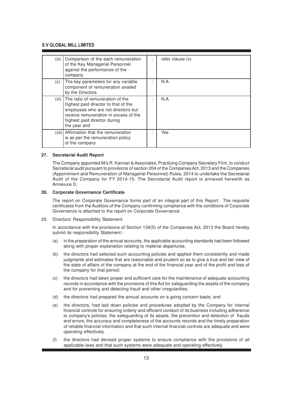| (ix)  | Comparison of the each remuneration<br>of the Key Managerial Personnel<br>against the performance of the<br>company                                                                                      | ٠<br>$\sim$ | refer clause (v) |
|-------|----------------------------------------------------------------------------------------------------------------------------------------------------------------------------------------------------------|-------------|------------------|
| (x)   | The key parameters for any variable<br>component of remuneration availed<br>by the Directors                                                                                                             |             | N.A              |
| (xi)  | The ratio of remuneration of the<br>highest paid director to that of the<br>employees who are not directors but<br>receive remuneration in excess of the<br>highest paid director during<br>the year and | ٠           | N.A              |
| (xii) | l Affirmation that the remuneration<br>is as per the remuneration policy<br>of the company                                                                                                               |             | Yes              |

### **27. Secretarial Audit Report**

The Company appointed M/s R. Kannan & Associates, Practicing Company Secretary Firm, to conduct Secretarial audit pursuant to provisions of section 204 of the Companies Act, 2013 and the Companies (Appointment and Remuneration of Managerial Personnel) Rules, 2014 to undertake the Secretarial Audit of the Company for FY 2014-15. The Secretarial Audit report is annexed herewith as Annexure D.

### **28. Corporate Governance Certificate**

The report on Corporate Governance forms part of an integral part of this Report. The requisite certificates from the Auditors of the Company confirming compliance with the conditions of Corporate Governance is attached to the report on Corporate Governance.

29. Directors' Responsibility Statement

In accordance with the provisions of Section 134(5) of the Companies Act, 2013 the Board hereby submit its responsibility Statement:-

- (a) in the preparation of the annual accounts, the applicable accounting standards had been followed along with proper explanation relating to material departures;
- (b) the directors had selected such accounting policies and applied them consistently and made judgments and estimates that are reasonable and prudent so as to give a true and fair view of the state of affairs of the company at the end of the financial year and of the profit and loss of the company for that period;
- (c) the directors had taken proper and sufficient care for the maintenance of adequate accounting records in accordance with the provisions of this Act for safeguarding the assets of the company and for preventing and detecting fraud and other irregularities;
- (d) the directors had prepared the annual accounts on a going concern basis; and
- (e) the directors, had laid down policies and procedures adopted by the Company for internal financial controls for ensuring orderly and efficient conduct of its business including adherence to company's policies, the safeguarding of its assets, the prevention and detection of frauds and errors, the accuracy and completeness of the accounts records and the timely preparation of reliable financial information and that such internal financial controls are adequate and were operating effectively.
- (f) the directors had devised proper systems to ensure compliance with the provisions of all applicable laws and that such systems were adequate and operating effectively.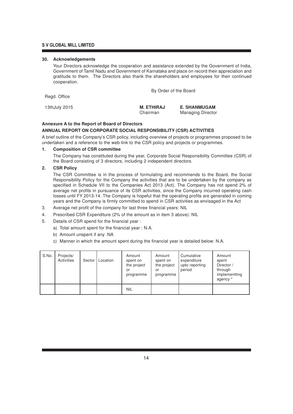#### **30. Acknowledgements**

Your Directors acknowledge the cooperation and assistance extended by the Government of India, Government of Tamil Nadu and Government of Karnataka and place on record their appreciation and gratitude to them. The Directors also thank the shareholders and employees for their continued cooperation.

Regd. Office

By Order of the Board

13thJuly 2015 **M. ETHIRAJ E. SHANMUGAM** Chairman Managing Director

### **Annexure A to the Report of Board of Directors ANNUAL REPORT ON CORPORATE SOCIAL RESPONSIBILITY (CSR) ACTIVITIES**

A brief outline of the Company's CSR policy, including overview of projects or programmes proposed to be undertaken and a reference to the web-link to the CSR policy and projects or programmes.

#### **1. Composition of CSR committee**

The Company has constituted during the year, Corporate Social Responsibility Committee (CSR) of the Board consisting of 3 directors, including 2 independent directors.

### **2. CSR Policy**

The CSR Committee is in the process of formulating and recommends to the Board, the Social Responsibility Policy for the Company the activities that are to be undertaken by the company as specified in Schedule VII to the Companies Act 2013 (Act). The Company has not spend 2% of average net profits in pursuance of its CSR activities, since the Company incurred operating cash losses until FY 2013-14. The Company is hopeful that the operating profits are generated in coming years and the Company is firmly committed to spend in CSR activities as envisaged in the Act

- 3. Average net profit of the company for last three financial years: NIL
- 4. Prescribed CSR Expenditure (2% of the amount as in item 3 above): NIL
- 5. Details of CSR spend for the financial year :
	- a) Total amount spent for the financial year : N.A.
	- b) Amount unspent if any :NA
	- c) Manner in which the amount spent during the financial year is detailed below: N.A.

| S.No. | Projects/<br><b>Activities</b> | Sector | Location | Amount<br>spent on<br>the project<br>or<br>programme | Amount<br>spent on<br>the project<br>or<br>programme | Cumulative<br>expenditure<br>upto reporting<br>period | Amount<br>spent<br>Director /<br>through<br>implementting<br>agency * |
|-------|--------------------------------|--------|----------|------------------------------------------------------|------------------------------------------------------|-------------------------------------------------------|-----------------------------------------------------------------------|
|       |                                |        |          | <b>NIL</b>                                           |                                                      |                                                       |                                                                       |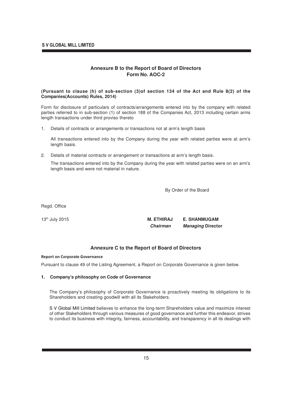### **Annexure B to the Report of Board of Directors Form No. AOC-2**

### **(Pursuant to clause (h) of sub-section (3)of section 134 of the Act and Rule 8(2) of the Companies(Accounts) Rules, 2014)**

Form for disclosure of particulars of contracts/arrangements entered into by the company with related parties referred to in sub-section (1) of section 188 of the Companies Act, 2013 including certain arms length transactions under third proviso thereto

1. Details of contracts or arrangements or transactions not at arm's length basis

All transactions entered into by the Company during the year with related parties were at arm's length basis.

2. Details of material contracts or arrangement or transactions at arm's length basis.

The transactions entered into by the Company during the year with related parties were on an arm's length basis and were not material in nature.

By Order of the Board

Regd. Office

13th July 2015 **M. ETHIRAJ E. SHANMUGAM Chairman Managing Director**

#### **Annexure C to the Report of Board of Directors**

#### **Report on Corporate Governance**

Pursuant to clause 49 of the Listing Agreement, a Report on Corporate Governance is given below.

### **1. Company's philosophy on Code of Governance**

The Company's philosophy of Corporate Governance is proactively meeting its obligations to its Shareholders and creating goodwill with all its Stakeholders.

S V Global Mill Limited believes to enhance the long-term Shareholders value and maximize interest of other Stakeholders through various measures of good governance and further this endeavor, strives to conduct its business with integrity, fairness, accountability, and transparency in all its dealings with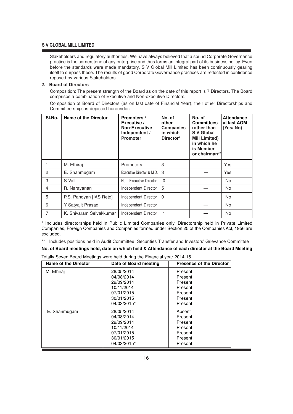Stakeholders and regulatory authorities. We have always believed that a sound Corporate Governance practice is the cornerstone of any enterprise and thus forms an integral part of its business policy. Even before the standards were made mandatory, S V Global Mill Limited has been continuously gearing itself to surpass these. The results of good Corporate Governance practices are reflected in confidence reposed by various Stakeholders.

### **2. Board of Directors**

Composition: The present strength of the Board as on the date of this report is 7 Directors. The Board comprises a combination of Executive and Non-executive Directors.

Composition of Board of Directors (as on last date of Financial Year), their other Directorships and Committee-ships is depicted hereunder:

| SI.No. | Name of the Director    | Promoters /<br>Executive /<br><b>Non-Executive</b><br>Independent /<br><b>Promoter</b> | No. of<br>other<br><b>Companies</b><br>in which<br>Director* | No. of<br><b>Committees</b><br>(other than<br><b>SV</b> Global<br><b>Mill Limited)</b><br>in which he<br>is Member<br>or chairman** | <b>Attendance</b><br>at last AGM<br>(Yes/No) |
|--------|-------------------------|----------------------------------------------------------------------------------------|--------------------------------------------------------------|-------------------------------------------------------------------------------------------------------------------------------------|----------------------------------------------|
|        | M. Ethiraj              | Promoters                                                                              | 3                                                            |                                                                                                                                     | Yes                                          |
| 2      | E. Shanmugam            | Executive Director & M.D.                                                              | 3                                                            |                                                                                                                                     | Yes                                          |
| 3      | S Valli                 | Non. Executive Director                                                                | $\Omega$                                                     |                                                                                                                                     | <b>No</b>                                    |
| 4      | R. Narayanan            | Independent Director                                                                   | 5                                                            |                                                                                                                                     | <b>No</b>                                    |
| 5      | P.S. Pandyan [IAS Retd] | Independent Director                                                                   | $\Omega$                                                     |                                                                                                                                     | <b>No</b>                                    |
| 6      | Y Satyajit Prasad       | Independent Director                                                                   |                                                              |                                                                                                                                     | <b>No</b>                                    |
| 7      | K. Shivaram Selvakkumar | Independent Director                                                                   |                                                              |                                                                                                                                     | No                                           |

\* Includes directorships held in Public Limited Companies only. Directorship held in Private Limited Companies, Foreign Companies and Companies formed under Section 25 of the Companies Act, 1956 are excluded.

\*\* Includes positions held in Audit Committee, Securities Transfer and Investors' Grievance Committee

**No. of Board meetings held, date on which held & Attendance of each director at the Board Meeting**

| <b>Name of the Director</b> | Date of Board meeting | <b>Presence of the Director</b> |
|-----------------------------|-----------------------|---------------------------------|
| M. Ethiraj                  | 28/05/2014            | Present                         |
|                             | 04/08/2014            | Present                         |
|                             | 29/09/2014            | Present                         |
|                             | 10/11/2014            | Present                         |
|                             | 07/01/2015            | Present                         |
|                             | 30/01/2015            | Present                         |
|                             | 04/03/2015*           | Present                         |
| E. Shanmugam                | 28/05/2014            | Absent                          |
|                             | 04/08/2014            | Present                         |
|                             | 29/09/2014            | Present                         |
|                             | 10/11/2014            | Present                         |
|                             | 07/01/2015            | Present                         |
|                             | 30/01/2015            | Present                         |
|                             | 04/03/2015*           | Present                         |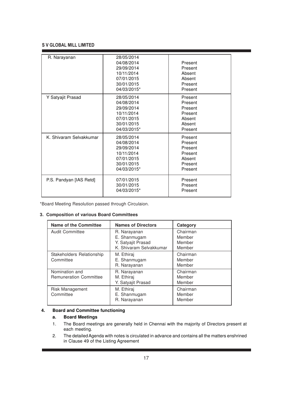| R. Narayanan            | 28/05/2014<br>04/08/2014<br>29/09/2014<br>10/11/2014<br>07/01/2015<br>30/01/2015<br>04/03/2015* | Present<br>Present<br>Absent<br>Absent<br>Present<br>Present             |
|-------------------------|-------------------------------------------------------------------------------------------------|--------------------------------------------------------------------------|
| Y Satyajit Prasad       | 28/05/2014<br>04/08/2014<br>29/09/2014<br>10/11/2014<br>07/01/2015<br>30/01/2015<br>04/03/2015* | Present<br>Present<br>Present<br>Present<br>Absent<br>Absent<br>Present  |
| K. Shivaram Selvakkumar | 28/05/2014<br>04/08/2014<br>29/09/2014<br>10/11/2014<br>07/01/2015<br>30/01/2015<br>04/03/2015* | Present<br>Present<br>Present<br>Present<br>Absent<br>Present<br>Present |
| P.S. Pandyan [IAS Retd] | 07/01/2015<br>30/01/2015<br>04/03/2015*                                                         | Present<br>Present<br>Present                                            |

\*Board Meeting Resolution passed through Circulaion.

### **3. Composition of various Board Committees**

| <b>Name of the Committee</b>                    | <b>Names of Directors</b>                                                     | Category                               |
|-------------------------------------------------|-------------------------------------------------------------------------------|----------------------------------------|
| <b>Audit Committee</b>                          | R. Narayanan<br>E. Shanmugam<br>Y. Satyajit Prasad<br>K. Shivaram Selvakkumar | Chairman<br>Member<br>Member<br>Member |
| Stakeholders Relationship<br>Committee          | M. Ethirai<br>E. Shanmugam<br>R. Narayanan                                    | Chairman<br>Member<br>Member           |
| Nomination and<br><b>Remuneration Committee</b> | R. Narayanan<br>M. Ethirai<br>Y. Satyajit Prasad                              | Chairman<br>Member<br>Member           |
| Risk Management<br>Committee                    | M. Ethirai<br>E. Shanmugam<br>R. Narayanan                                    | Chairman<br>Member<br>Member           |

### **4. Board and Committee functioning**

### **a. Board Meetings**

- 1. The Board meetings are generally held in Chennai with the majority of Directors present at each meeting.
- 2. The detailed Agenda with notes is circulated in advance and contains all the matters enshrined in Clause 49 of the Listing Agreement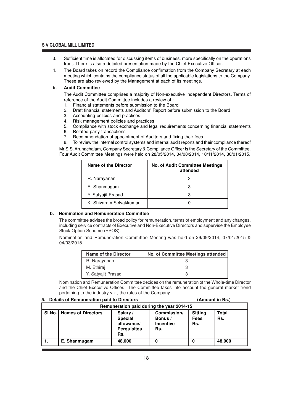- 3. Sufficient time is allocated for discussing items of business, more specifically on the operations front. There is also a detailed presentation made by the Chief Executive Officer.
- 4. The Board takes on record the Compliance confirmation from the Company Secretary at each meeting which contains the compliance status of all the applicable legislations to the Company. These are also reviewed by the Management at each of its meetings.

### **b. Audit Committee**

The Audit Committee comprises a majority of Non-executive Independent Directors. Terms of reference of the Audit Committee includes a review of :

- 1. Financial statements before submission to the Board
- 2. Draft financial statements and Auditors' Report before submission to the Board
- 3. Accounting policies and practices
- 4. Risk management policies and practices
- 5. Compliance with stock exchange and legal requirements concerning financial statements
- 6. Related party transactions
- 7. Recommendation of appointment of Auditors and fixing their fees
- 8. To review the internal control systems and internal audit reports and their compliance thereof

Mr.S.S. Arunachalam, Company Secretary & Compliance Officer is the Secretary of the Committee. Four Audit Committee Meetings were held on 28/05/2014, 04/08/2014, 10/11/2014, 30/01/2015.

| Name of the Director    | <b>No. of Audit Committee Meetings</b><br>attended |
|-------------------------|----------------------------------------------------|
| R. Narayanan            |                                                    |
| E. Shanmugam            |                                                    |
| Y. Satyajit Prasad      |                                                    |
| K. Shivaram Selvakkumar |                                                    |

### **b. Nomination and Remuneration Committee**

The committee advises the broad policy for remuneration, terms of employment and any changes, including service contracts of Executive and Non-Executive Directors and supervise the Employee Stock Option Scheme (ESOS).

Nomination and Remuneration Committee Meeting was held on 29/09/2014, 07/01/2015 & 04/03/2015

| Name of the Director | No. of Committee Meetings attended |
|----------------------|------------------------------------|
| R. Narayanan         |                                    |
| M. Ethirai           |                                    |
| Y. Satyajit Prasad   |                                    |

Nomination and Remuneration Committee decides on the remuneration of the Whole-time Director and the Chief Executive Officer. The Committee takes into account the general market trend pertaining to the industry viz., the rules of the Company.

#### **5. Details of Remuneration paid to Directors (Amount in Rs.)**

| Remuneration paid during the year 2014-15 |                           |                                                                       |                                                   |                                      |                     |  |
|-------------------------------------------|---------------------------|-----------------------------------------------------------------------|---------------------------------------------------|--------------------------------------|---------------------|--|
| SI.No.                                    | <b>Names of Directors</b> | Salary /<br><b>Special</b><br>allowance/<br><b>Perquisites</b><br>Rs. | Commission/<br>Bonus /<br><b>Incentive</b><br>Rs. | <b>Sitting</b><br><b>Fees</b><br>Rs. | <b>Total</b><br>Rs. |  |
|                                           | E. Shanmugam              | 48,000                                                                |                                                   |                                      | 48,000              |  |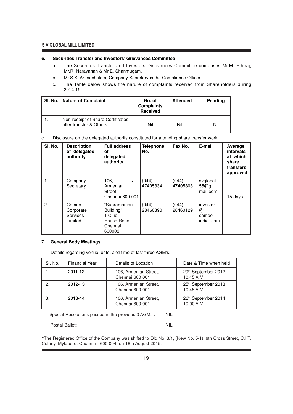### **6. Securities Transfer and Investors' Grievances Committee**

- a. The Securities Transfer and Investors' Grievances Committee comprises Mr.M. Ethiraj, Mr.R. Narayanan & Mr.E. Shanmugam.
- b. Mr.S.S. Arunachalam, Company Secretary is the Compliance Officer
- c. The Table below shows the nature of complaints received from Shareholders during 2014-15:

| SI. No.   Nature of Complaint                                | No. of<br><b>Complaints</b><br><b>Received</b> | <b>Attended</b> | Pending |
|--------------------------------------------------------------|------------------------------------------------|-----------------|---------|
| Non-receipt of Share Certificates<br>after transfer & Others | Nil                                            | Nil             | Nil     |

| U. | Disclosure on the delegated authority constituted for attending share transfer work |  |  |  |  |
|----|-------------------------------------------------------------------------------------|--|--|--|--|
|    |                                                                                     |  |  |  |  |

| SI. No. | <b>Description</b><br>of delegated<br>authority  | <b>Full address</b><br>οf<br>delegated<br>authority                     | <b>Telephone</b><br>No. | Fax No.           | E-mail                               | Average<br>intervals<br>at which<br>share<br>transfers<br>approved |
|---------|--------------------------------------------------|-------------------------------------------------------------------------|-------------------------|-------------------|--------------------------------------|--------------------------------------------------------------------|
| 1.      | Company<br>Secretary                             | 106,<br>$\star$<br>Armenian<br>Street,<br>Chennai 600 001               | (044)<br>47405334       | (044)<br>47405303 | svglobal<br>55@g<br>mail.com         | 15 days                                                            |
| 2.      | Cameo<br>Corporate<br><b>Services</b><br>Limited | "Subramanian<br>Building"<br>1 Club<br>House Road,<br>Chennai<br>600002 | (044)<br>28460390       | (044)<br>28460129 | investor<br>@<br>cameo<br>india, com |                                                                    |

### **7. General Body Meetings**

Details regarding venue, date, and time of last three AGM's.

| SI. No. | <b>Financial Year</b> | Details of Location                      | Date & Time when held             |
|---------|-----------------------|------------------------------------------|-----------------------------------|
|         | 2011-12               | 106, Armenian Street,<br>Chennai 600 001 | 29th September 2012<br>10.45 A.M. |
|         | 2012-13               | 106, Armenian Street,<br>Chennai 600 001 | 25th September 2013<br>10.45 A.M. |
| 3.      | 2013-14               | 106, Armenian Street,<br>Chennai 600 001 | 26th September 2014<br>10.00 A.M. |

Special Resolutions passed in the previous 3 AGMs : NIL

Postal Ballot: NIL

\*The Registered Office of the Company was shifted to Old No. 3/1, (New No. 5/1), 6th Cross Street, C.I.T. Colony, Mylapore, Chennai - 600 004, on 18th August 2015.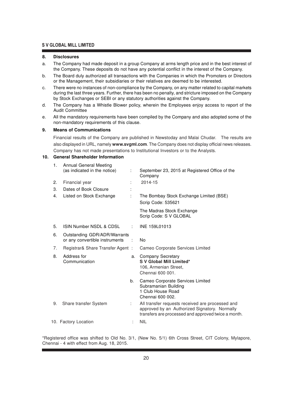### **8. Disclosures**

- a. The Company had made deposit in a group Company at arms length price and in the best interest of the Company. These deposits do not have any potential conflict in the interest of the Company.
- b. The Board duly authorized all transactions with the Companies in which the Promoters or Directors or the Management, their subsidiaries or their relatives are deemed to be interested.
- c. There were no instances of non-compliance by the Company, on any matter related to capital markets during the last three years. Further, there has been no penalty, and stricture imposed on the Company by Stock Exchanges or SEBI or any statutory authorities against the Company.
- d. The Company has a Whistle Blower policy, wherein the Employees enjoy access to report of the Audit Committee
- e. All the mandatory requirements have been compiled by the Company and also adopted some of the non-mandatory requirements of this clause.

### **9. Means of Communications**

Financial results of the Company are published in Newstoday and Malai Chudar. The results are also displayed in URL, namely **www.svgml.com**. The Company does not display official news releases. Company has not made presentations to Institutional Investors or to the Analysts.

### **10. General Shareholder Information**

| 1. | <b>Annual General Meeting</b><br>(as indicated in the notice)  |    | September 23, 2015 at Registered Office of the<br>Company                                                                                                |
|----|----------------------------------------------------------------|----|----------------------------------------------------------------------------------------------------------------------------------------------------------|
| 2. | Financial year                                                 |    | 2014-15                                                                                                                                                  |
| 3. | Dates of Book Closure                                          |    |                                                                                                                                                          |
| 4. | Listed on Stock Exchange                                       |    | The Bombay Stock Exchange Limited (BSE)<br>Scrip Code: 535621                                                                                            |
|    |                                                                |    | The Madras Stock Exchange<br>Scrip Code: S V GLOBAL                                                                                                      |
| 5. | <b>ISIN Number NSDL &amp; CDSL</b>                             |    | INE 159L01013                                                                                                                                            |
| 6. | Outstanding GDR/ADR/Warrants<br>or any convertible instruments |    | No.                                                                                                                                                      |
| 7. | Registrar& Share Transfer Agent:                               |    | Cameo Corporate Services Limited                                                                                                                         |
| 8. | Address for<br>Communication                                   | a. | Company Secretary<br>S V Global Mill Limited*<br>106, Armenian Street,<br>Chennai 600 001.                                                               |
|    |                                                                | b. | Cameo Corporate Services Limited<br>Subramanian Building<br>1 Club House Road<br>Chennai 600 002.                                                        |
| 9. | Share transfer System                                          |    | All transfer requests received are processed and<br>approved by an Authorized Signatory. Normally<br>transfers are processed and approved twice a month. |
|    | 10. Factory Location                                           |    | <b>NIL</b>                                                                                                                                               |
|    |                                                                |    |                                                                                                                                                          |

\*Registered office was shifted to Old No. 3/1, (New No. 5/1) 6th Cross Street, CIT Colony, Mylapore, Chennai - 4 with effect from Aug. 18, 2015.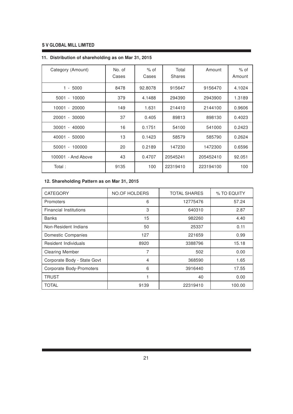### **11. Distribution of shareholding as on Mar 31, 2015**

| Category (Amount)   | No. of<br>Cases | $%$ of<br>Cases | Total<br><b>Shares</b> | Amount    | % of<br>Amount |
|---------------------|-----------------|-----------------|------------------------|-----------|----------------|
| $1 - 5000$          | 8478            | 92,8078         | 915647                 | 9156470   | 4.1024         |
| $5001 -$<br>10000   | 379             | 4.1488          | 294390                 | 2943900   | 1.3189         |
| 10001 - 20000       | 149             | 1.631           | 214410                 | 2144100   | 0.9606         |
| 20001 - 30000       | 37              | 0.405           | 89813                  | 898130    | 0.4023         |
| $30001 - 40000$     | 16              | 0.1751          | 54100                  | 541000    | 0.2423         |
| $40001 -$<br>50000  | 13              | 0.1423          | 58579                  | 585790    | 0.2624         |
| $50001 -$<br>100000 | 20              | 0.2189          | 147230                 | 1472300   | 0.6596         |
| 100001 - And Above  | 43              | 0.4707          | 20545241               | 205452410 | 92.051         |
| Total:              | 9135            | 100             | 22319410               | 223194100 | 100            |

### **12. Shareholding Pattern as on Mar 31, 2015**

| <b>CATEGORY</b>               | <b>NO.OF HOLDERS</b> | TOTAL SHARES | % TO EQUITY |
|-------------------------------|----------------------|--------------|-------------|
| Promoters                     | 6                    | 12775476     | 57.24       |
| <b>Financial Institutions</b> | 3                    | 640310       | 2.87        |
| <b>Banks</b>                  | 15                   | 982260       | 4.40        |
| Non-Resident Indians          | 50                   | 25337        | 0.11        |
| Domestic Companies            | 127                  | 221659       | 0.99        |
| Resident Individuals          | 8920                 | 3388796      | 15.18       |
| <b>Clearing Member</b>        | 7                    | 502          | 0.00        |
| Corporate Body - State Govt   | 4                    | 368590       | 1.65        |
| Corporate Body-Promoters      | 6                    | 3916440      | 17.55       |
| <b>TRUST</b>                  |                      | 40           | 0.00        |
| <b>TOTAL</b>                  | 9139                 | 22319410     | 100.00      |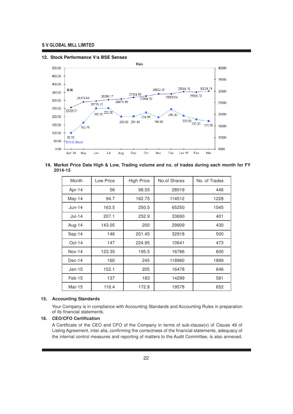

### **12. Stock Performance V/s BSE Sensex**

**14. Market Price Data High & Low, Trading volume and no. of trades during each month for FY 2014-15**

| Month<br>Low Price |        | <b>High Price</b> | No.of Shares | No. of Trades |
|--------------------|--------|-------------------|--------------|---------------|
| Apr-14             | 56     | 98.55             | 28019        | 446           |
| $May-14$           | 94.7   | 162.75            | 114512       | 1228          |
| $Jun-14$           | 163.5  | 250.5             | 65250        | 1045          |
| $Jul-14$           | 207.1  | 252.9             | 33690        | 401           |
| Aug-14             | 143.05 | 200               | 29909        | 430           |
| Sep-14             | 146    | 201.45            | 32918        | 500           |
| $Oct-14$           | 147    | 224.95            | 10641        | 473           |
| Nov-14             | 123.35 | 195.5             | 16786        | 600           |
| Dec-14             | 160    | 245               | 118960       | 1899          |
| $Jan-15$           | 152.1  | 205               | 16478        | 646           |
| Feb-15             | 137    | 183               | 14299        | 581           |
| Mar-15             | 116.4  | 172.8             | 19578        | 652           |

### **15. Accounting Standards**

Your Company is in compliance with Accounting Standards and Accounting Rules in preparation of its financial statements.

### **16. CEO/CFO Certification**

A Certificate of the CEO and CFO of the Company in terms of sub-clause(v) of Clause 49 of Listing Agreement, inter alia, confirming the correctness of the financial statements, adequacy of the internal control measures and reporting of matters to the Audit Committee, is also annexed.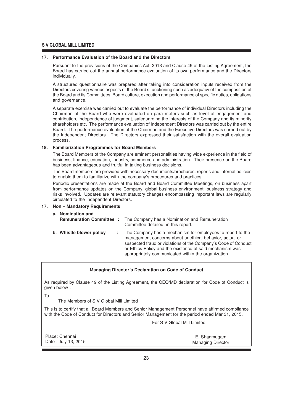### **17. Performance Evaluation of the Board and the Directors**

Pursuant to the provisions of the Companies Act, 2013 and Clause 49 of the Listing Agreement, the Board has carried out the annual performance evaluation of its own performance and the Directors individually.

A structured questionnaire was prepared after taking into consideration inputs received from the Directors covering various aspects of the Board's functioning such as adequacy of the composition of the Board and its Committees, Board culture, execution and performance of specific duties, obligations and governance.

A separate exercise was carried out to evaluate the performance of individual Directors including the Chairman of the Board who were evaluated on para meters such as level of engagement and contribution, independence of judgment, safeguarding the interests of the Company and its minority shareholders etc. The performance evaluation of Independent Directors was carried out by the entire Board. The performance evaluation of the Chairman and the Executive Directors was carried out by the Independent Directors. The Directors expressed their satisfaction with the overall evaluation process.

### **18. Familiarization Programmes for Board Members**

The Board Members of the Company are eminent personalities having wide experience in the field of business, finance, education, industry, commerce and administration. Their presence on the Board has been advantageous and fruitful in taking business decisions.

The Board members are provided with necessary documents/brochures, reports and internal policies to enable them to familiarize with the company's procedures and practices.

Periodic presentations are made at the Board and Board Committee Meetings, on business apart from performance updates on the Company, global business environment, business strategy and risks involved. Updates are relevant statutory changes encompassing important laws are regularly circulated to the Independent Directors.

### **17. Non – Mandatory Requirements**

| a. Nomination and        | <b>Remuneration Committee :</b> The Company has a Nomination and Remuneration<br>Committee detailed in this report.                                                                                                                                                                                          |
|--------------------------|--------------------------------------------------------------------------------------------------------------------------------------------------------------------------------------------------------------------------------------------------------------------------------------------------------------|
| b. Whistle blower policy | : The Company has a mechanism for employees to report to the<br>management concerns about unethical behavior, actual or<br>suspected fraud or violations of the Company's Code of Conduct<br>or Ethics Policy and the existence of said mechanism was<br>appropriately communicated within the organization. |

#### **Managing Director's Declaration on Code of Conduct**

As required by Clause 49 of the Listing Agreement, the CEO/MD declaration for Code of Conduct is given below :

To

The Members of S V Global Mill Limited

This is to certify that all Board Members and Senior Management Personnel have affirmed compliance with the Code of Conduct for Directors and Senior Management for the period ended Mar 31, 2015.

For S V Global Mill Limited

Place: Chennai Date : July 13, 2015

E. Shanmugam Managing Director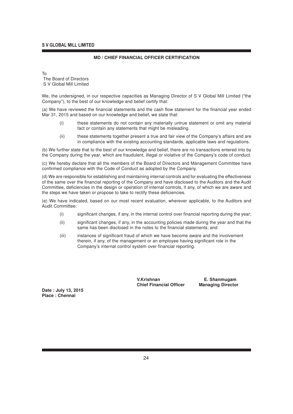### **MD / CHIEF FINANCIAL OFFICER CERTIFICATION**

To The Board of Directors S V Global Mill Limited

We, the undersigned, in our respective capacities as Managing Director of S V Global Mill Limited ("the Company"), to the best of our knowledge and belief certify that:

(a) We have reviewed the financial statements and the cash flow statement for the financial year ended Mar 31, 2015 and based on our knowledge and belief, we state that:

- (i) these statements do not contain any materially untrue statement or omit any material fact or contain any statements that might be misleading.
- (ii) these statements together present a true and fair view of the Company's affairs and are in compliance with the existing accounting standards, applicable laws and regulations.

(b) We further state that to the best of our knowledge and belief, there are no transactions entered into by the Company during the year, which are fraudulent, illegal or violative of the Company's code of conduct.

(c) We hereby declare that all the members of the Board of Directors and Management Committee have confirmed compliance with the Code of Conduct as adopted by the Company.

(d) We are responsible for establishing and maintaining internal controls and for evaluating the effectiveness of the same over the financial reporting of the Company and have disclosed to the Auditors and the Audit Committee, deficiencies in the design or operation of internal controls, if any, of which we are aware and the steps we have taken or propose to take to rectify these deficiencies.

(e) We have indicated, based on our most recent evaluation, wherever applicable, to the Auditors and Audit Committee:

- (i) significant changes, if any, in the internal control over financial reporting during the year;
- (ii) significant changes, if any, in the accounting policies made during the year and that the same has been disclosed in the notes to the financial statements; and
- (iii) instances of significant fraud of which we have become aware and the involvement therein, if any, of the management or an employee having significant role in the Company's internal control system over financial reporting.

**V.Krishnan E. Shanmugam**

**Managing Director** 

**Date : July 13, 2015 Place : Chennai**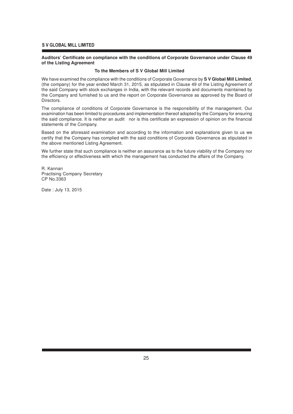### **Auditors' Certificate on compliance with the conditions of Corporate Governance under Clause 49 of the Listing Agreement**

### **To the Members of S V Global Mill Limited**

We have examined the compliance with the conditions of Corporate Governance by **S V Global Mill Limited**, (the company) for the year ended March 31, 2015, as stipulated in Clause 49 of the Listing Agreement of the said Company with stock exchanges in India, with the relevant records and documents maintained by the Company and furnished to us and the report on Corporate Governance as approved by the Board of Directors.

The compliance of conditions of Corporate Governance is the responsibility of the management. Our examination has been limited to procedures and implementation thereof adopted by the Company for ensuring the said compliance. It is neither an audit nor is this certificate an expression of opinion on the financial statements of the Company.

Based on the aforesaid examination and according to the information and explanations given to us we certify that the Company has complied with the said conditions of Corporate Governance as stipulated in the above mentioned Listing Agreement.

We further state that such compliance is neither an assurance as to the future viability of the Company nor the efficiency or effectiveness with which the management has conducted the affairs of the Company.

R. Kannan Practising Company Secretary CP No.3363

Date : July 13, 2015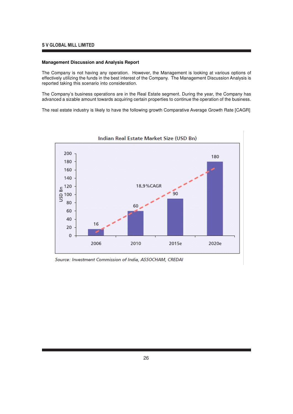#### **Management Discussion and Analysis Report**

The Company is not having any operation. However, the Management is looking at various options of effectively utilizing the funds in the best interest of the Company. The Management Discussion Analysis is reported taking this scenario into consideration.

The Company's business operations are in the Real Estate segment. During the year, the Company has advanced a sizable amount towards acquiring certain properties to continue the operation of the business.

The real estate industry is likely to have the following growth Comparative Average Growth Rate [CAGR]



Indian Real Estate Market Size (USD Bn)

Source: Investment Commission of India, ASSOCHAM, CREDAI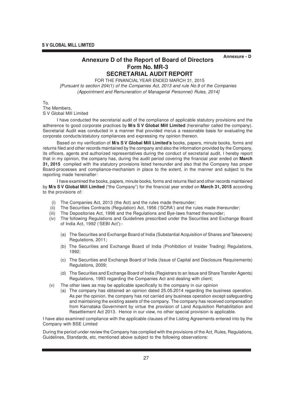**Annexure - D**

### **Annexure D of the Report of Board of Directors Form No. MR-3 SECRETARIAL AUDIT REPORT**

FOR THE FINANCIAL YEAR ENDED MARCH 31, 2015 [Pursuant to section 204(1) of the Companies Act, 2013 and rule No.9 of the Companies (Appointment and Remuneration of Managerial Personnel) Rules, 2014]

To,

The Members, S V Global Mill Limited

I have conducted the secretarial audit of the compliance of applicable statutory provisions and the adherence to good corporate practices by **M/s S V Global Mill Limited** (hereinafter called the company). Secretarial Audit was conducted in a manner that provided me/us a reasonable basis for evaluating the corporate conducts/statutory compliances and expressing my opinion thereon.

Based on my verification of **M/s S V Global Mill Limited's** books, papers, minute books, forms and returns filed and other records maintained by the company and also the information provided by the Company, its officers, agents and authorized representatives during the conduct of secretarial audit, I hereby report that in my opinion, the company has, during the audit period covering the financial year ended on **March 31, 2015** complied with the statutory provisions listed hereunder and also that the Company has proper Board-processes and compliance-mechanism in place to the extent, in the manner and subject to the reporting made hereinafter:

I have examined the books, papers, minute books, forms and returns filed and other records maintained by **M/s S V Global Mill Limited** ("the Company") for the financial year ended on **March 31, 2015** according to the provisions of:

- (i) The Companies Act, 2013 (the Act) and the rules made thereunder;
- (ii) The Securities Contracts (Regulation) Act, 1956 ('SCRA') and the rules made thereunder;
- (iii) The Depositories Act, 1996 and the Regulations and Bye-laws framed thereunder;
- (iv) The following Regulations and Guidelines prescribed under the Securities and Exchange Board of India Act, 1992 ('SEBI Act'):-
	- (a) The Securities and Exchange Board of India (Substantial Acquisition of Shares and Takeovers) Regulations, 2011;
	- (b) The Securities and Exchange Board of India (Prohibition of Insider Trading) Regulations, 1992;
	- (c) The Securities and Exchange Board of India (Issue of Capital and Disclosure Requirements) Regulations, 2009;
	- (d) The Securities and Exchange Board of India (Registrars to an Issue and Share Transfer Agents) Regulations, 1993 regarding the Companies Act and dealing with client;
- (v) The other laws as may be applicable specifically to the company in our opinion
	- (a) The company has obtained an opinion dated 25.05.2014 regarding the business operation. As per the opinion, the company has not carried any business operation except safeguarding and maintaining the existing assets of the company. The company has received compensation from Karnataka Government by virtue the provision of Land Acquisition Rehabilitation and Resettlement Act 2013. Hence in our view, no other special provision is applicable.

I have also examined compliance with the applicable clauses of the Listing Agreements entered into by the Company with BSE Limited

During the period under review the Company has complied with the provisions of the Act, Rules, Regulations, Guidelines, Standards, etc. mentioned above subject to the following observations: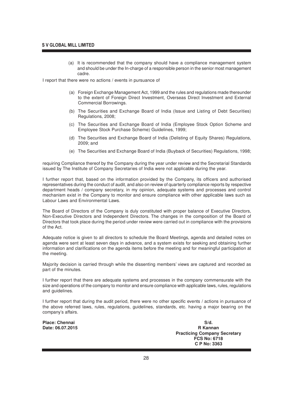(a) It is recommended that the company should have a compliance management system and should be under the In-charge of a responsible person in the senior most management cadre.

I report that there were no actions / events in pursuance of

- (a) Foreign Exchange Management Act, 1999 and the rules and regulations made thereunder to the extent of Foreign Direct Investment, Overseas Direct Investment and External Commercial Borrowings.
- (b) The Securities and Exchange Board of India (Issue and Listing of Debt Securities) Regulations, 2008;
- (c) The Securities and Exchange Board of India (Employee Stock Option Scheme and Employee Stock Purchase Scheme) Guidelines, 1999;
- (d) The Securities and Exchange Board of India (Delisting of Equity Shares) Regulations, 2009; and
- (e) The Securities and Exchange Board of India (Buyback of Securities) Regulations, 1998;

requiring Compliance thereof by the Company during the year under review and the Secretarial Standards issued by The Institute of Company Secretaries of India were not applicable during the year.

I further report that, based on the information provided by the Company, its officers and authorised representatives during the conduct of audit, and also on review of quarterly compliance reports by respective department heads / company secretary, in my opinion, adequate systems and processes and control mechanism exist in the Company to monitor and ensure compliance with other applicable laws such as Labour Laws and Environmental Laws.

The Board of Directors of the Company is duly constituted with proper balance of Executive Directors, Non-Executive Directors and Independent Directors. The changes in the composition of the Board of Directors that took place during the period under review were carried out in compliance with the provisions of the Act.

Adequate notice is given to all directors to schedule the Board Meetings, agenda and detailed notes on agenda were sent at least seven days in advance, and a system exists for seeking and obtaining further information and clarifications on the agenda items before the meeting and for meaningful participation at the meeting.

Majority decision is carried through while the dissenting members' views are captured and recorded as part of the minutes.

I further report that there are adequate systems and processes in the company commensurate with the size and operations of the company to monitor and ensure compliance with applicable laws, rules, regulations and guidelines.

I further report that during the audit period, there were no other specific events / actions in pursuance of the above referred laws, rules, regulations, guidelines, standards, etc. having a major bearing on the company's affairs.

**Place: Chennai S/d.**

**Date: 06.07.2015 R Kannan Practicing Company Secretary FCS No: 6718 C P No: 3363**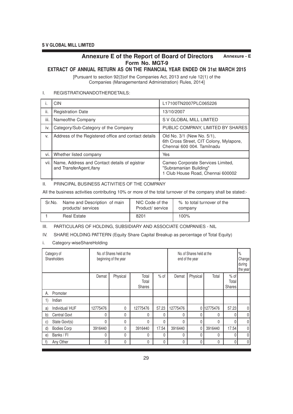### **Form No. MGT-9 Annexure E of the Report of Board of Directors Annexure - E**

### **EXTRACT OF ANNUAL RETURN AS ON THE FINANCIAL YEAR ENDED ON 31st MARCH 2015**

[Pursuant to section 92(3)of the Companies Act, 2013 and rule 12(1) of the Companies (Managementand Administration) Rules, 2014]

### I. REGISTRATIONANDOTHERDETAILS:

|      | <b>CIN</b>                                                                | L17100TN2007PLC065226                                                                               |
|------|---------------------------------------------------------------------------|-----------------------------------------------------------------------------------------------------|
| ii.  | <b>Registration Date</b>                                                  | 13/10/2007                                                                                          |
| iii. | Nameofthe Company                                                         | S V GLOBAL MILL LIMITED                                                                             |
| iv.  | Category/Sub-Category of the Company                                      | PUBLIC COMPANY, LIMITED BY SHARES                                                                   |
| V.   | Address of the Registered office and contact details                      | Old No. 3/1 (New No. 5/1),<br>6th Cross Street, CIT Colony, Mylapore,<br>Chennai 600 004. Tamilnadu |
| vi.  | Whether listed company                                                    | Yes                                                                                                 |
| vii. | Name, Address and Contact details of egistrar<br>and TransferAgent, ifany | Cameo Corporate Services Limited,<br>"Subramanian Building"<br>1 Club House Road, Chennai 600002    |

### II. PRINCIPAL BUSINESS ACTIVITIES OF THE COMPANY

All the business activities contributing 10% or more of the total turnover of the company shall be stated:-

| Sr.No. | Name and Description of main | NIC Code of the  | % to total turnover of the |
|--------|------------------------------|------------------|----------------------------|
|        | products/ services           | Product/ service | company                    |
|        | Real Estate                  | 8201             | $100\%$                    |

III. PARTICULARS OF HOLDING, SUBSIDIARY AND ASSOCIATE COMPANIES - NIL

IV. SHARE HOLDING PATTERN (Equity Share Capital Breakup as percentage of Total Equity)

i. Category-wiseShareHolding

| Category of<br>Shareholders |              | No. of Shares held at the<br>beginning of the year |                                 |              | No. of Shares held at the<br>end of the year |          |          |                                        | $\%$<br>Change<br>during<br>the year |
|-----------------------------|--------------|----------------------------------------------------|---------------------------------|--------------|----------------------------------------------|----------|----------|----------------------------------------|--------------------------------------|
|                             | Demat        | Physical                                           | Total<br>Total<br><b>Shares</b> | $%$ of       | Demat                                        | Physical | Total    | $%$ of<br>Total<br>Shares <sup>1</sup> |                                      |
| Promoter<br>А.              |              |                                                    |                                 |              |                                              |          |          |                                        |                                      |
| Indian                      |              |                                                    |                                 |              |                                              |          |          |                                        |                                      |
| Individual/HUF<br>a)        | 12775476     | 0                                                  | 12775476                        | 57.23        | 12775476                                     | 0        | 12775476 | 57.23                                  | 0                                    |
| <b>Central Govt</b><br>b)   | $\theta$     | $\mathbf{0}$                                       | 0                               | $\mathbf{0}$ | 0                                            |          | 0        | <sup>0</sup>                           | 0                                    |
| State Govt(s)<br>C)         | $\theta$     | $\mathbf{0}$                                       | 0                               | 0            | 0                                            |          | 0        | 0                                      | 0                                    |
| <b>Bodies Corp</b><br>d)    | 3916440      | $\mathbf{0}$                                       | 3916440                         | 17.54        | 3916440                                      |          | 3916440  | 17.54                                  | $\Omega$                             |
| Banks / Fl<br>e)            | $\theta$     | $\mathbf{0}$                                       | 0                               | $\theta$     | 0                                            | 0        | 0        | 0                                      | 0                                    |
| Any Other                   | $\mathbf{0}$ | 0                                                  | 0                               | $\mathbf{0}$ | 0                                            |          | 0        | 0                                      | 0                                    |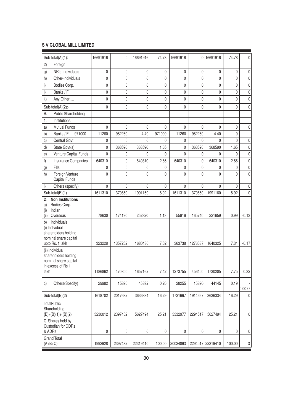| $Sub-total(A)(1)$ :-                                                                  | 16691916     | 0            | 16691916       | 74.78  | 16691916     |                  | 0 16691916       | 74.78        | 0              |
|---------------------------------------------------------------------------------------|--------------|--------------|----------------|--------|--------------|------------------|------------------|--------------|----------------|
| 2)<br>Foreign                                                                         |              |              |                |        |              |                  |                  |              |                |
| NRIs-Individuals<br>g)                                                                | 0            | 0            | 0              | 0      | $\pmb{0}$    | $\boldsymbol{0}$ | 0                | 0            | 0              |
| h)<br>Other-Individuals                                                               | 0            | 0            | 0              | 0      | 0            | $\mathbf 0$      | 0                | 0            | 0              |
| Bodies Corp.<br>i)                                                                    | 0            | 0            | $\mathbf{0}$   | 0      | 0            | $\mathbf 0$      | 0                | 0            | 0              |
| Banks / Fl<br>j)                                                                      | 0            | 0            | 0              | 0      | $\mathbf 0$  | $\mathbf 0$      | 0                | 0            | 0              |
| k)<br>Any Other                                                                       | $\mathbf 0$  | 0            | 0              | 0      | 0            | $\mathbf{0}$     | 0                | $\mathbf{0}$ | 0              |
| Sub-total(A)(2):-                                                                     | 0            | 0            | 0              | 0      | 0            | $\overline{0}$   | 0                | 0            | 0              |
| Β.<br><b>Public Shareholding</b>                                                      |              |              |                |        |              |                  |                  |              |                |
| Institutions<br>1.                                                                    |              |              |                |        |              |                  |                  |              |                |
| <b>Mutual Funds</b><br>a)                                                             | $\mathbf 0$  | $\mathbf{0}$ | $\mathbf{0}$   | 0      | $\mathbf{0}$ | $\overline{0}$   | 0                | 0            | $\pmb{0}$      |
| Banks / Fl<br>971000<br>b)                                                            | 11260        | 982260       | 4.40           | 971000 | 11260        | 982260           | 4.40             | 0            |                |
| Central Govt<br>$\mathsf{C})$                                                         | 0            | 0            | 0              | 0      | 0            | 0                | 0                | 0            | 0              |
| State Govt(s)<br>d)                                                                   | 0            | 368590       | 368590         | 1.65   | 0            | 368590           | 368590           | 1.65         | 0              |
| Venture Capital Funds<br>e)                                                           | 0            | 0            | 0              | 0      | $\mathbf{0}$ | $\overline{0}$   | 0                | 0            | 0              |
| f)<br><b>Insurance Companies</b>                                                      | 640310       | 0            | 640310         | 2.86   | 640310       | 0                | 640310           | 2.86         | 0              |
| Flls<br>g)                                                                            | 0            | 0            | 0              | 0      | 0            | $\overline{0}$   | 0                | 0            | 0              |
| Foreign Venture<br>h)<br><b>Capital Funds</b>                                         | $\mathbf{0}$ | $\mathbf 0$  | $\overline{0}$ | 0      | $\mathbf{0}$ | $\Omega$         | $\mathbf{0}$     | $\mathbf{0}$ | $\pmb{0}$      |
| i)<br>Others (specify)                                                                | $\mathbf{0}$ | $\mathbf 0$  | $\mathbf{0}$   | 0      | 0            | $\overline{0}$   | $\mathbf{0}$     | 0            | 0              |
| Sub-total(B)(1)                                                                       | 1611310      | 379850       | 1991160        | 8.92   | 1611310      | 379850           | 1991160          | 8.92         | $\pmb{0}$      |
| <b>Non Institutions</b><br>2.                                                         |              |              |                |        |              |                  |                  |              |                |
| Bodies Corp.<br>a)<br>Indian                                                          |              |              |                |        |              |                  |                  |              |                |
| (i)<br>Overseas<br>(ii)                                                               | 78630        | 174190       | 252820         | 1.13   | 55919        | 165740           | 221659           | 0.99         | $-0.13$        |
| Individuals<br>b)                                                                     |              |              |                |        |              |                  |                  |              |                |
| (i) Individual<br>shareholders holding<br>nominal share capital<br>upto Rs. 1 lakh    | 323228       | 1357252      | 1680480        | 7.52   | 363738       | 1276587          | 1640325          | 7.34         | $-0.17$        |
| (ii) Individual<br>shareholders holding<br>nominal share capital<br>in excess of Rs 1 |              |              |                |        |              |                  |                  |              |                |
| lakh                                                                                  | 1186862      | 470300       | 1657162        | 7.42   | 1273755      |                  | 456450 1730205   | 7.75         | 0.32           |
| Others(Specify)<br>C)                                                                 | 29982        | 15890        | 45872          | 0.20   | 28255        | 15890            | 44145            | 0.19         | 0.0077         |
| Sub-total(B)(2)                                                                       | 1618702      | 2017632      | 3636334        | 16.29  | 1721667      | 1914667          | 3636334          | 16.29        | 0              |
| <b>TotalPublic</b><br>Shareholding<br>$(B)=(B)(1)+(B)(2)$                             | 3230012      | 2397482      | 5627494        | 25.21  | 3332977      | 2294517          | 5627494          | 25.21        | $\pmb{0}$      |
| C. Shares held by<br>Custodian for GDRs<br>& ADRs                                     | $\pmb{0}$    | $\pmb{0}$    | 0              | 0      | 0            | 0                | 0                | 0            | $\pmb{0}$      |
| <b>Grand Total</b><br>$(A+B+C)$                                                       | 1992928      | 2397482      | 22319410       | 100.00 | 20024893     |                  | 2294517 22319410 | 100.00       | $\overline{0}$ |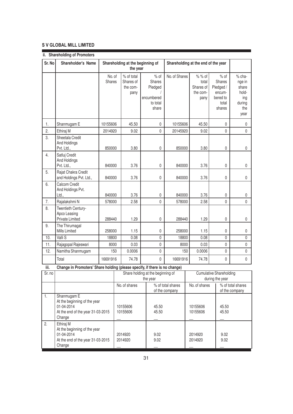### **ii. Shareholding of Promoters**

| Sr. No | Shareholder's Name                                    | Shareholding at the beginning of<br>the year |                                             |                                                                | Shareholding at the end of the year |                                                  |                                                                        |                                                                    |
|--------|-------------------------------------------------------|----------------------------------------------|---------------------------------------------|----------------------------------------------------------------|-------------------------------------|--------------------------------------------------|------------------------------------------------------------------------|--------------------------------------------------------------------|
|        |                                                       | No. of<br><b>Shares</b>                      | % of total<br>Shares of<br>the com-<br>pany | $%$ of<br>Shares<br>Pledged<br>encumbered<br>to total<br>share | No. of Shares                       | % % of<br>total<br>Shares of<br>the com-<br>pany | $%$ of<br>Shares<br>Pledged /<br>encum-<br>bered to<br>total<br>shares | % cha-<br>nge in<br>share<br>hold-<br>ing<br>during<br>the<br>year |
| 1.     | Shanmugam E                                           | 10155606                                     | 45.50                                       | 0                                                              | 10155606                            | 45.50                                            | 0                                                                      | 0                                                                  |
| 2.     | Ethiraj M                                             | 2014920                                      | 9.02                                        | $\mathbf{0}$                                                   | 20145920                            | 9.02                                             | 0                                                                      | 0                                                                  |
| 3.     | Sheetala Credit<br>And Holdings<br>Pvt. Ltd.,         | 850000                                       | 3.80                                        | $\mathbf{0}$                                                   | 850000                              | 3.80                                             | $\mathbf{0}$                                                           | $\mathbf{0}$                                                       |
| 4.     | Satluj Credit<br>And Holdings<br>Pvt. Ltd.,           | 840000                                       | 3.76                                        | $\pmb{0}$                                                      | 840000                              | 3.76                                             | 0                                                                      | 0                                                                  |
| 5.     | Rajat Chakra Credit<br>and Holdings Pvt. Ltd.,        | 840000                                       | 3.76                                        | $\pmb{0}$                                                      | 840000                              | 3.76                                             | 0                                                                      | $\mathbf{0}$                                                       |
| 6.     | Calcom Credit<br>And Holdings Pvt.<br>Ltd.,           | 840000                                       | 3.76                                        | $\pmb{0}$                                                      | 840000                              | 3.76                                             | 0                                                                      | 0                                                                  |
| 7.     | Rajalakshmi N                                         | 578000                                       | 2.58                                        | $\pmb{0}$                                                      | 578000                              | 2.58                                             | $\mathbf{0}$                                                           | $\mathbf 0$                                                        |
| 8.     | Twentieth Century-<br>Apco Leasing<br>Private Limited | 288440                                       | 1.29                                        | 0                                                              | 288440                              | 1.29                                             | 0                                                                      | 0                                                                  |
| 9.     | The Thirumagal<br>Mills Limited                       | 258000                                       | 1.15                                        | $\mathbf 0$                                                    | 258000                              | 1.15                                             | 0                                                                      | 0                                                                  |
| 10.    | Valli S                                               | 18800                                        | 0.08                                        | $\mathbf 0$                                                    | 18800                               | 0.08                                             | 0                                                                      | 0                                                                  |
| 11.    | Rajagopal Rajeswari                                   | 8000                                         | 0.03                                        | $\pmb{0}$                                                      | 8000                                | 0.03                                             | 0                                                                      | 0                                                                  |
| 12.    | Namitha Shanmugam                                     | 150                                          | 0.0006                                      | $\mathbf 0$                                                    | 150                                 | 0.0006                                           | $\mathbf{0}$                                                           | 0                                                                  |
|        | Total                                                 | 16691916                                     | 74.78                                       | 0                                                              | 16691916                            | 74.78                                            | 0                                                                      | 0                                                                  |

**iii. Change in Promoters' Share holding (please specify, if there is no change)**

| Sr. no |                                                                                                          | Share holding at the beginning of<br>the year        |                |                      | <b>Cumulative Shareholding</b><br>during the year |
|--------|----------------------------------------------------------------------------------------------------------|------------------------------------------------------|----------------|----------------------|---------------------------------------------------|
|        |                                                                                                          | No. of shares<br>% of total shares<br>of the company |                | No. of shares        | % of total shares<br>of the company               |
| l 1.   | Shanmugam E<br>At the beginning of the year<br>01-04-2014<br>At the end of the year 31-03-2015<br>Change | 10155606<br>10155606                                 | 45.50<br>45.50 | 10155606<br>10155606 | 45.50<br>45.50                                    |
| 2.     | Ethiraj M<br>At the beginning of the year<br>01-04-2014<br>At the end of the year 31-03-2015<br>Change   | 2014920<br>2014920                                   | 9.02<br>9.02   | 2014920<br>2014920   | 9.02<br>9.02                                      |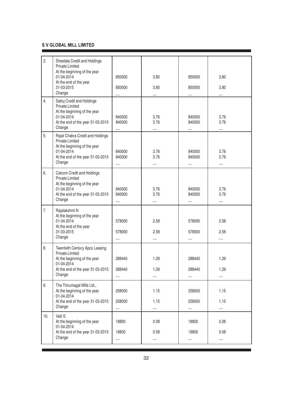| 3.  | Sheetala Credit and Holdings<br>Private Limited<br>At the beginning of the year<br>01-04-2014<br>At the end of the year<br>31-03-2015<br>Change         | 850000<br>850000 | 3.80<br>3.80 | 850000<br>850000 | 3.80<br>3.80 |
|-----|---------------------------------------------------------------------------------------------------------------------------------------------------------|------------------|--------------|------------------|--------------|
| 4.  | Satluj Credit and Holdings<br><b>Private Limited</b><br>At the beginning of the year<br>01-04-2014<br>At the end of the year 31-03-2015<br>Change       | 840000<br>840000 | 3.76<br>3.76 | 840000<br>840000 | 3.76<br>3.76 |
| 5.  | Rajat Chakra Credit and Holdings<br><b>Private Limited</b><br>At the beginning of the year<br>01-04-2014<br>At the end of the year 31-03-2015<br>Change | 840000<br>840000 | 3.76<br>3.76 | 840000<br>840000 | 3.76<br>3.76 |
| 6.  | Calcom Credit and Holdings<br>Private Limited<br>At the beginning of the year<br>01-04-2014<br>At the end of the year 31-03-2015<br>Change              | 840000<br>840000 | 3.76<br>3.76 | 840000<br>840000 | 3.76<br>3.76 |
| 7.  | Rajalakshmi N<br>At the beginning of the year<br>01-04-2014<br>At the end of the year<br>31-03-2015<br>Change                                           | 578000<br>578000 | 2.58<br>2.58 | 578000<br>578000 | 2.58<br>2.58 |
| 8.  | Twentieth Century Apco Leasing<br><b>Private Limited</b><br>At the beginning of the year<br>01-04-2014<br>At the end of the year 31-03-2015<br>Change   | 288440<br>288440 | 1.29<br>1.29 | 288440<br>288440 | 1.29<br>1.29 |
| 9.  | The Thirumagal Mills Ltd.,<br>At the beginning of the year<br>01-04-2014<br>At the end of the year 31-03-2015<br>Change                                 | 258000<br>258000 | 1.15<br>1.15 | 258000<br>258000 | 1.15<br>1.15 |
| 10. | Valli S<br>At the beginning of the year<br>01-04-2014<br>At the end of the year 31-03-2015<br>Change                                                    | 18800<br>18800   | 0.08<br>0.08 | 18800<br>18800   | 0.08<br>0.08 |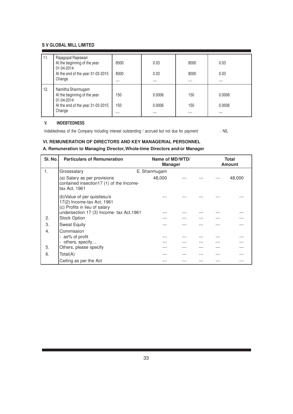| 11. | Rajagopal Rajeswari<br>At the beginning of the year<br>01-04-2014<br>At the end of the year 31-03-2015<br>Change | 8000<br>8000 | 0.03<br>0.03     | 8000<br>8000 | 0.03<br>0.03     |
|-----|------------------------------------------------------------------------------------------------------------------|--------------|------------------|--------------|------------------|
| 12. | Namitha Shanmugam<br>At the beginning of the year<br>01-04-2014<br>At the end of the year 31-03-2015<br>Change   | 150<br>150   | 0.0006<br>0.0006 | 150<br>150   | 0.0006<br>0.0006 |

### **V. INDEBTEDNESS**

Indebtedness of the Company including interest outstanding / accrued but not due for payment - NIL

### **VI. REMUNERATION OF DIRECTORS AND KEY MANAGERIAL PERSONNEL**

### **A. Remuneration to Managing Director, Whole-time Directors and/or Manager**

| SI. No. | <b>Particulars of Remuneration</b>                                                          | Name of MD/WTD/<br><b>Manager</b> |  | <b>Total</b><br><b>Amount</b> |  |        |
|---------|---------------------------------------------------------------------------------------------|-----------------------------------|--|-------------------------------|--|--------|
| 1.      | Grosssalary                                                                                 | E. Shanmugam                      |  |                               |  |        |
|         | (a) Salary as per provisions<br>contained insection17 (1) of the Income-<br>tax Act, 1961   | 48,000                            |  |                               |  | 48,000 |
|         | (b) Value of per quisitesu/s<br>17(2) Income-tax Act, 1961<br>(c) Profits in lieu of salary |                                   |  |                               |  |        |
|         | undersection 17 (3) Income- tax Act, 1961                                                   |                                   |  |                               |  |        |
| 2.      | <b>Stock Option</b>                                                                         |                                   |  |                               |  |        |
| 3.      | <b>Sweat Equity</b>                                                                         |                                   |  |                               |  |        |
| 4.      | Commission                                                                                  |                                   |  |                               |  |        |
|         | - as% of profit                                                                             |                                   |  |                               |  |        |
|         | - others, specify                                                                           |                                   |  |                               |  |        |
| 5.      | Others, please specify                                                                      |                                   |  |                               |  |        |
| 6.      | Total(A)                                                                                    |                                   |  |                               |  |        |
|         | Ceiling as per the Act                                                                      |                                   |  |                               |  |        |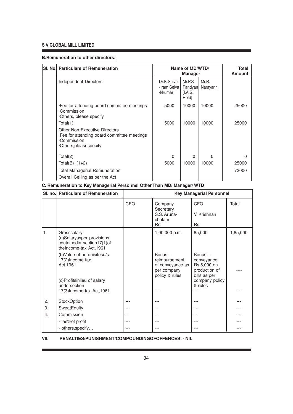### **B.Remuneration to other directors:**

| SI. No. Particulars of Remuneration                                                                                                 |                                      | Name of MD/WTD/<br><b>Manager</b>      | <b>Total</b><br><b>Amount</b> |       |
|-------------------------------------------------------------------------------------------------------------------------------------|--------------------------------------|----------------------------------------|-------------------------------|-------|
| Independent Directors                                                                                                               | Dr.K.Shiva<br>- ram Selva<br>-kkumar | Mr.P.S.<br>Pandyan<br>[1.A.S.<br>Retd] | Mr.R.<br>Narayann             |       |
| . Fee for attending board committee meetings<br><b>Commission</b><br>Others, please specify                                         | 5000                                 | 10000                                  | 10000                         | 25000 |
| Total(1)                                                                                                                            | 5000                                 | 10000                                  | 10000                         | 25000 |
| <b>Other Non-Executive Directors</b><br>. Fee for attending board committee meetings<br><b>Commission</b><br>Others, pleases pecify |                                      |                                        |                               |       |
| Total(2)                                                                                                                            | $\Omega$                             | $\Omega$                               | ∩                             |       |
| $Total(B)=(1+2)$                                                                                                                    | 5000                                 | 10000                                  | 10000                         | 25000 |
| <b>Total Managerial Remuneration</b>                                                                                                |                                      |                                        |                               | 73000 |
| Overall Ceiling as per the Act                                                                                                      |                                      |                                        |                               |       |

### **C. Remuneration to Key Managerial Personnel Other Than MD/ Manager/ WTD**

|    | SI. no. Particulars of Remuneration                                                               |     |                                                                               | <b>Key Managerial Personnel</b>                                         |          |
|----|---------------------------------------------------------------------------------------------------|-----|-------------------------------------------------------------------------------|-------------------------------------------------------------------------|----------|
|    |                                                                                                   | CEO | Company<br>Secretary                                                          | <b>CFO</b>                                                              | Total    |
|    |                                                                                                   |     | S.S. Aruna-<br>chalam                                                         | V. Krishnan                                                             |          |
|    |                                                                                                   |     | Rs.                                                                           | Rs.                                                                     |          |
| 1. | Grosssalary<br>(a)Salaryasper provisions<br>containedin section17(1)of<br>thelncome-tax Act, 1961 |     | 1,00,000 p.m.                                                                 | 85,000                                                                  | 1,85,000 |
|    | (b) Value of perquisitesu/s<br>17(2) Income-tax<br>Act, 1961                                      |     | Bonus +<br>reimbursement<br>of conveyance as<br>per company<br>policy & rules | Bonus $+$<br>conveyance<br>Rs.5,000 on<br>production of<br>bills as per |          |
|    | (c)Profitsinlieu of salary<br>undersection<br>17(3) Income-tax Act, 1961                          |     |                                                                               | company policy<br>& rules                                               |          |
|    |                                                                                                   |     |                                                                               |                                                                         |          |
| 2. | <b>StockOption</b>                                                                                |     |                                                                               |                                                                         |          |
| 3. | SweatEquity                                                                                       |     |                                                                               |                                                                         |          |
| 4. | Commission                                                                                        | --- |                                                                               |                                                                         |          |
|    | as%of profit                                                                                      |     |                                                                               |                                                                         |          |
|    | others, specify                                                                                   |     |                                                                               |                                                                         |          |

### **VII. PENALTIES/PUNISHMENT/COMPOUNDINGOFOFFENCES: - NIL**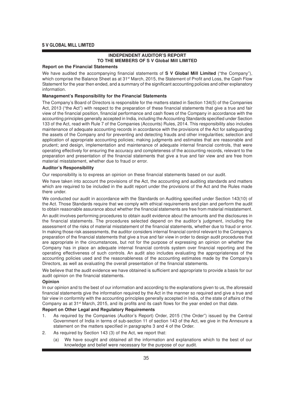### **INDEPENDENT AUDITOR'S REPORT TO THE MEMBERS OF S V Global Mill LIMITED**

#### **Report on the Financial Statements**

We have audited the accompanying financial statements of **S V Global Mill Limited** ("the Company"), which comprise the Balance Sheet as at 31<sup>st</sup> March, 2015, the Statement of Profit and Loss, the Cash Flow Statement for the year then ended, and a summary of the significant accounting policies and other explanatory information.

### **Management's Responsibility for the Financial Statements**

The Company's Board of Directors is responsible for the matters stated in Section 134(5) of the Companies Act, 2013 ("the Act") with respect to the preparation of these financial statements that give a true and fair view of the financial position, financial performance and cash flows of the Company in accordance with the accounting principles generally accepted in India, including the Accounting Standards specified under Section 133 of the Act, read with Rule 7 of the Companies (Accounts) Rules, 2014. This responsibility also includes maintenance of adequate accounting records in accordance with the provisions of the Act for safeguarding the assets of the Company and for preventing and detecting frauds and other irregularities; selection and application of appropriate accounting policies; making judgments and estimates that are reasonable and prudent; and design, implementation and maintenance of adequate internal financial controls, that were operating effectively for ensuring the accuracy and completeness of the accounting records, relevant to the preparation and presentation of the financial statements that give a true and fair view and are free from material misstatement, whether due to fraud or error.

#### **Auditor's Responsibility**

Our responsibility is to express an opinion on these financial statements based on our audit.

We have taken into account the provisions of the Act, the accounting and auditing standards and matters which are required to be included in the audit report under the provisions of the Act and the Rules made there under.

We conducted our audit in accordance with the Standards on Auditing specified under Section 143(10) of the Act. Those Standards require that we comply with ethical requirements and plan and perform the audit to obtain reasonable assurance about whether the financial statements are free from material misstatement.

An audit involves performing procedures to obtain audit evidence about the amounts and the disclosures in the financial statements. The procedures selected depend on the auditor's judgment, including the assessment of the risks of material misstatement of the financial statements, whether due to fraud or error. In making those risk assessments, the auditor considers internal financial control relevant to the Company's preparation of the financial statements that give a true and fair view in order to design audit procedures that are appropriate in the circumstances, but not for the purpose of expressing an opinion on whether the Company has in place an adequate internal financial controls system over financial reporting and the operating effectiveness of such controls. An audit also includes evaluating the appropriateness of the accounting policies used and the reasonableness of the accounting estimates made by the Company's Directors, as well as evaluating the overall presentation of the financial statements.

We believe that the audit evidence we have obtained is sufficient and appropriate to provide a basis for our audit opinion on the financial statements.

### **Opinion**

In our opinion and to the best of our information and according to the explanations given to us, the aforesaid financial statements give the information required by the Act in the manner so required and give a true and fair view in conformity with the accounting principles generally accepted in India, of the state of affairs of the Company as at 31st March, 2015, and its profits and its cash flows for the year ended on that date.

#### **Report on Other Legal and Regulatory Requirements**

- 1. As required by the Companies (Auditor's Report) Order, 2015 ("the Order") issued by the Central Government of India in terms of sub-section 11 of section 143 of the Act, we give in the Annexure a statement on the matters specified in paragraphs 3 and 4 of the Order.
- 2. As required by Section 143 (3) of the Act, we report that:
	- We have sought and obtained all the information and explanations which to the best of our knowledge and belief were necessary for the purpose of our audit.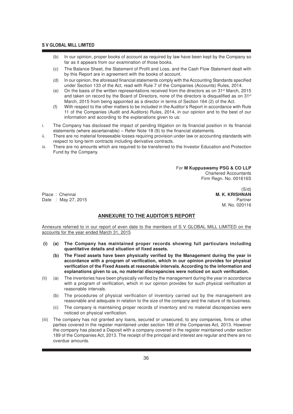- (b) In our opinion, proper books of account as required by law have been kept by the Company so far as it appears from our examination of those books.
- (c) The Balance Sheet, the Statement of Profit and Loss, and the Cash Flow Statement dealt with by this Report are in agreement with the books of account.
- (d) In our opinion, the aforesaid financial statements comply with the Accounting Standards specified under Section 133 of the Act, read with Rule 7 of the Companies (Accounts) Rules, 2014.
- (e) On the basis of the written representations received from the directors as on  $31<sup>st</sup>$  March, 2015 and taken on record by the Board of Directors, none of the directors is disqualified as on  $31<sup>st</sup>$ March, 2015 from being appointed as a director in terms of Section 164 (2) of the Act.
- (f) With respect to the other matters to be included in the Auditor's Report in accordance with Rule 11 of the Companies (Audit and Auditors) Rules, 2014, in our opinion and to the best of our information and according to the explanations given to us:
- i. The Company has disclosed the impact of pending litigation on its financial position in its financial statements (where ascertainable) – Refer Note 18 (9) to the financial statements.
- ii. There are no material foreseeable losses requiring provision under law or accounting standards with respect to long-term contracts including derivative contracts.
- iii. There are no amounts which are required to be transferred to the Investor Education and Protection Fund by the Company.

For **M Kuppuswamy PSG & CO LLP** Chartered Accountants Firm Regn. No. 001616S

**Place : Chennai** Date : May 27, 2015 **Partner** Partner **Partner** Partner **Partner** 

(S/d)<br>M. K. KRISHNAN M. No. 020116

### **ANNEXURE TO THE AUDITOR'S REPORT**

Annexure referred to in our report of even date to the members of S V GLOBAL MILL LIMITED on the accounts for the year ended March 31, 2015

- **(i) (a) The Company has maintained proper records showing full particulars including quantitative details and situation of fixed assets.**
	- **(b) The Fixed assets have been physically verified by the Management during the year in accordance with a program of verification, which in our opinion provides for physical verification of the Fixed Assets at reasonable intervals. According to the information and explanations given to us, no material discrepancies were noticed on such verification.**
- (ii) (a) The inventories have been physically verified by the management during the year in accordance with a program of verification, which in our opinion provides for such physical verification at reasonable intervals.
	- (b) The procedures of physical verification of inventory carried out by the management are reasonable and adequate in relation to the size of the company and the nature of its business.
	- (c) The company is maintaining proper records of inventory and no material discrepancies were noticed on physical verification.
- (iii) The company has not granted any loans, secured or unsecured, to any companies, firms or other parties covered in the register maintained under section 189 of the Companies Act, 2013. However the company has placed a Deposit with a company covered in the register maintained under section 189 of the Companies Act, 2013. The receipt of the principal and interest are regular and there are no overdue amounts.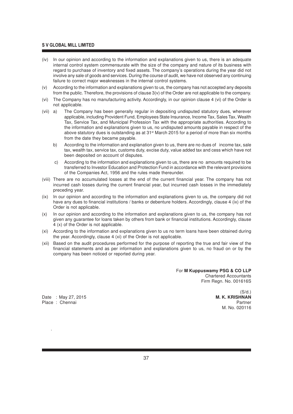- (iv) In our opinion and according to the information and explanations given to us, there is an adequate internal control system commensurate with the size of the company and nature of its business with regard to purchase of inventory and fixed assets. The company's operations during the year did not involve any sale of goods and services. During the course of audit, we have not observed any continuing failure to correct major weaknesses in the internal control systems.
- (v) According to the information and explanations given to us, the company has not accepted any deposits from the public. Therefore, the provisions of clause 3(v) of the Order are not applicable to the company.
- (vi) The Company has no manufacturing activity. Accordingly, in our opinion clause 4 (vi) of the Order is not applicable.
- (vii) a) The Company has been generally regular in depositing undisputed statutory dues, wherever applicable, including Provident Fund, Employees State Insurance, Income Tax, Sales Tax, Wealth Tax, Service Tax, and Municipal Profession Tax with the appropriate authorities. According to the information and explanations given to us, no undisputed amounts payable in respect of the above statutory dues is outstanding as at  $31<sup>st</sup>$  March 2015 for a period of more than six months from the date they became payable.
	- b) According to the information and explanation given to us, there are no dues of income tax, sale tax, wealth tax, service tax, customs duty, excise duty, value added tax and cess which have not been deposited on account of disputes.
	- c) According to the information and explanations given to us, there are no amounts required to be transferred to Investor Education and Protection Fund in accordance with the relevant provisions of the Companies Act, 1956 and the rules made thereunder.
- (viii) There are no accumulated losses at the end of the current financial year. The company has not incurred cash losses during the current financial year, but incurred cash losses in the immediately preceding year.
- (ix) In our opinion and according to the information and explanations given to us, the company did not have any dues to financial institutions / banks or debenture holders. Accordingly, clause 4 (ix) of the Order is not applicable.
- (x) In our opinion and according to the information and explanations given to us, the company has not given any guarantee for loans taken by others from bank or financial institutions. Accordingly, clause 4 (x) of the Order is not applicable.
- (xi) According to the information and explanations given to us no term loans have been obtained during the year. Accordingly, clause 4 (xi) of the Order is not applicable.
- (xii) Based on the audit procedures performed for the purpose of reporting the true and fair view of the financial statements and as per information and explanations given to us, no fraud on or by the company has been noticed or reported during year.

For **M Kuppuswamy PSG & CO LLP** Chartered Accountants Firm Regn. No. 001616S

> (S/d.)<br>M. K. KRISHNAN M. No. 020116

Date : May 27, 2015 Place : Chennai Partner Partner Partner Partner Partner Partner Partner Partner Partner

.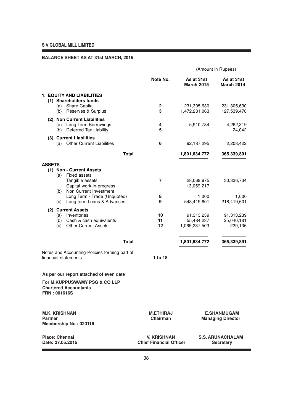### **BALANCE SHEET AS AT 31st MARCH, 2015**

|                                                                 |                                                                                                                     |                                                      |                                           | (Amount in Rupees)                             |
|-----------------------------------------------------------------|---------------------------------------------------------------------------------------------------------------------|------------------------------------------------------|-------------------------------------------|------------------------------------------------|
|                                                                 |                                                                                                                     | Note No.                                             | As at 31st<br><b>March 2015</b>           | As at 31st<br><b>March 2014</b>                |
|                                                                 | <b>1. EQUITY AND LIABILITIES</b><br>(1) Shareholders funds                                                          |                                                      |                                           |                                                |
|                                                                 | <b>Share Capital</b><br>(a)<br>Reserves & Surplus<br>(b)                                                            | 2<br>3                                               | 231,305,630<br>1,472,231,063              | 231,305,630<br>127,539,478                     |
|                                                                 | (2) Non Current Liabilities<br>(a) Long Term Borrowings<br>Deferred Tax Liability<br>(b)                            | 4<br>5                                               | 5,910,784                                 | 4,262,319<br>24,042                            |
|                                                                 | (3) Current Liabilities<br><b>Other Current Liabilities</b><br>(a)                                                  | 6                                                    | 92,187,295                                | 2,208,422                                      |
|                                                                 | <b>Total</b>                                                                                                        |                                                      | 1,801,634,772                             | 365,339,891                                    |
| <b>ASSETS</b>                                                   |                                                                                                                     |                                                      |                                           |                                                |
|                                                                 | (1) Non - Current Assets<br><b>Fixed assets</b><br>(a)<br>Tangible assets<br>Capital work-in-progress               | 7                                                    | 28,069,975<br>13,059.217                  | 30,336,734                                     |
|                                                                 | Non Current Investment<br>(b)<br>Long Term - Trade (Unquoted)<br>(c)<br>Long term Loans & Advances                  | 8<br>9                                               | 1,000<br>548,419,601                      | 1,000<br>218,419,601                           |
| (2)                                                             | <b>Current Assets</b><br>Inventories<br>(a)<br>Cash & cash equivalents<br>(b)<br><b>Other Current Assets</b><br>(c) | 10<br>11<br>12                                       | 91,313,239<br>55,484,237<br>1,065,287,503 | 91,313,239<br>25,040,181<br>229,136            |
|                                                                 | <b>Total</b>                                                                                                        |                                                      | 1,801,634,772                             | 365,339,891                                    |
|                                                                 | Notes and Accounting Policies forming part of<br>financial statements                                               | 1 to 18                                              |                                           |                                                |
|                                                                 | As per our report attached of even date                                                                             |                                                      |                                           |                                                |
|                                                                 | For M.KUPPUSWAMY PSG & CO LLP<br><b>Chartered Accountants</b><br><b>FRN: 001616S</b>                                |                                                      |                                           |                                                |
| <b>M.K. KRISHNAN</b><br><b>Partner</b><br>Membership No: 020116 |                                                                                                                     | <b>M.ETHIRAJ</b><br>Chairman                         |                                           | <b>E.SHANMUGAM</b><br><b>Managing Director</b> |
|                                                                 | <b>Place: Chennai</b><br>Date: 27.05.2015                                                                           | <b>V. KRISHNAN</b><br><b>Chief Financial Officer</b> |                                           | <b>S.S. ARUNACHALAM</b><br><b>Secretary</b>    |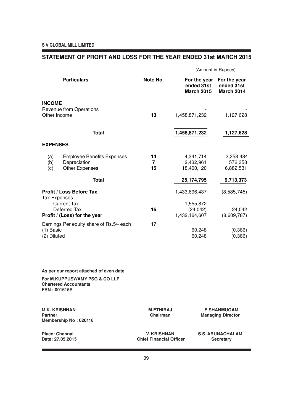### **STATEMENT OF PROFIT AND LOSS FOR THE YEAR ENDED 31st MARCH 2015**

(Amount in Rupees)

| <b>Particulars</b>                                                                              | Note No.                   | For the year<br>ended 31st<br><b>March 2015</b> | For the year<br>ended 31st<br><b>March 2014</b> |
|-------------------------------------------------------------------------------------------------|----------------------------|-------------------------------------------------|-------------------------------------------------|
| <b>INCOME</b><br>Revenue from Operations<br>Other Income                                        | 13                         | 1,458,871,232                                   | 1,127,628                                       |
| <b>Total</b>                                                                                    |                            | 1,458,871,232                                   | 1,127,628                                       |
| <b>EXPENSES</b>                                                                                 |                            |                                                 |                                                 |
| <b>Employee Benefits Expenses</b><br>(a)<br>Depreciation<br>(b)<br><b>Other Expenses</b><br>(c) | 14<br>$\overline{7}$<br>15 | 4,341,714<br>2,432,961<br>18,400,120            | 2,258,484<br>572,358<br>6,882,531               |
| <b>Total</b>                                                                                    |                            | 25, 174, 795                                    | 9,713,373                                       |
| <b>Profit / Loss Before Tax</b><br><b>Tax Expenses</b>                                          |                            | 1,433,696,437                                   | (8,585,745)                                     |
| <b>Current Tax</b><br>Deferred Tax<br>Profit / (Loss) for the year                              | 16                         | 1,555,872<br>(24, 042)<br>1,432,164,607         | 24,042<br>(8,609,787)                           |
| Earnings Per equity share of Rs.5/- each<br>$(1)$ Basic<br>(2) Diluted                          | 17                         | 60.248<br>60.248                                | (0.386)<br>(0.386)                              |

**As per our report attached of even date**

**For M.KUPPUSWAMY PSG & CO LLP Chartered Accountants FRN : 001616S**

**M.K. KRISHNAN M.ETHIRAJ E.SHANMUGAM Membership No : 020116**

**Managing Director** 

**Place: Chennai V. KRISHNAN S.S. ARUNACHALAM**<br> **Date: 27.05.2015 Chief Financial Officer Secretary** 

**Chief Financial Officer Secretary**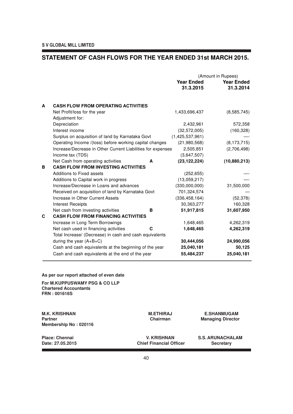### **STATEMENT OF CASH FLOWS FOR THE YEAR ENDED 31st MARCH 2015.**

|   |                                                             | (Amount in Rupees)             |                                |  |
|---|-------------------------------------------------------------|--------------------------------|--------------------------------|--|
|   |                                                             | <b>Year Ended</b><br>31.3.2015 | <b>Year Ended</b><br>31.3.2014 |  |
| A | <b>CASH FLOW FROM OPERATING ACTIVITIES</b>                  |                                |                                |  |
|   | Net Profit/loss for the year<br>Adjustment for:             | 1,433,696,437                  | (8,585,745)                    |  |
|   | Depreciation                                                | 2,432,961                      | 572,358                        |  |
|   | Interest income                                             | (32, 572, 005)                 | (160, 328)                     |  |
|   | Surplus on acquisition of land by Karnataka Govt            | (1,425,537,961)                |                                |  |
|   | Operating Income /(loss) before working capital changes     | (21,980,568)                   | (8, 173, 715)                  |  |
|   | Increase/Decrease in Other Current Liabilities for expenses | 2,505,851                      | (2,706,498)                    |  |
|   | Income tax (TDS)                                            | (3,647,507)                    |                                |  |
|   | Net Cash from operating activities<br>A                     | (23, 122, 224)                 | (10, 880, 213)                 |  |
| в | <b>CASH FLOW FROM INVESTING ACTIVITIES</b>                  |                                |                                |  |
|   | Additions to Fixed assets                                   | (252, 655)                     |                                |  |
|   | Additions to Capital work in progress                       | (13,059,217)                   |                                |  |
|   | Increase/Decrease in Loans and advances                     | (330,000,000)                  | 31,500,000                     |  |
|   | Received on acquisition of land by Karnataka Govt           | 701,324,574                    |                                |  |
|   | Increase in Other Current Assets                            | (336, 458, 164)                | (52, 378)                      |  |
|   | <b>Interest Receipts</b>                                    | 30,363,277                     | 160,328                        |  |
|   | Net cash from investing activities<br>B                     | 51,917,815                     | 31,607,950                     |  |
| C | <b>CASH FLOW FROM FINANCING ACTIVITIES</b>                  |                                |                                |  |
|   | Increase in Long Term Borrowings                            | 1,648,465                      | 4,262,319                      |  |
|   | Net cash used in financing activities<br>C                  | 1,648,465                      | 4,262,319                      |  |
|   | Total Increase/ (Decrease) in cash and cash equivalents     |                                |                                |  |
|   | during the year $(A+B+C)$                                   | 30,444,056                     | 24,990,056                     |  |
|   | Cash and cash equivalents at the beginning of the year      | 25,040,181                     | 50,125                         |  |
|   | Cash and cash equivalents at the end of the year            | 55,484,237                     | 25,040,181                     |  |

**As per our report attached of even date**

**For M.KUPPUSWAMY PSG & CO LLP Chartered Accountants FRN : 001616S**

| <b>M.K. KRISHNAN</b><br><b>Partner</b><br>Membership No: 020116 | <b>M.ETHIRAJ</b><br>Chairman                         | <b>E.SHANMUGAM</b><br><b>Managing Director</b> |
|-----------------------------------------------------------------|------------------------------------------------------|------------------------------------------------|
| <b>Place: Chennai</b><br>Date: 27.05.2015                       | <b>V. KRISHNAN</b><br><b>Chief Financial Officer</b> | <b>S.S. ARUNACHALAM</b><br><b>Secretary</b>    |
|                                                                 |                                                      |                                                |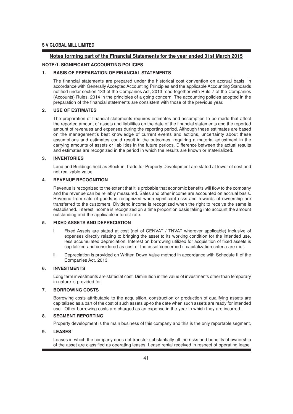#### **Notes forming part of the Financial Statements for the year ended 31st March 2015**

### **NOTE:1. SIGNIFICANT ACCOUNTING POLICIES**

### **1. BASIS OF PREPARATION OF FINANCIAL STATEMENTS**

The financial statements are prepared under the historical cost convention on accrual basis, in accordance with Generally Accepted Accounting Principles and the applicable Accounting Standards notified under section 133 of the Companies Act, 2013 read together with Rule 7 of the Companies (Accounts) Rules, 2014 in the principles of a going concern. The accounting policies adopted in the preparation of the financial statements are consistent with those of the previous year.

### **2. USE OF ESTIMATES**

The preparation of financial statements requires estimates and assumption to be made that affect the reported amount of assets and liabilities on the date of the financial statements and the reported amount of revenues and expenses during the reporting period. Although these estimates are based on the management's best knowledge of current events and actions, uncertainty about these assumptions and estimates could result in the outcomes, requiring a material adjustment in the carrying amounts of assets or liabilities in the future periods. Difference between the actual results and estimates are recognized in the period in which the results are known or materialized.

### **3. INVENTORIES**

Land and Buildings held as Stock-in-Trade for Property Development are stated at lower of cost and net realizable value.

### **4. REVENUE RECOGNITION**

Revenue is recognized to the extent that it is probable that economic benefits will flow to the company and the revenue can be reliably measured. Sales and other income are accounted on accrual basis. Revenue from sale of goods is recognized when significant risks and rewards of ownership are transferred to the customers. Dividend income is recognized when the right to receive the same is established. Interest income is recognized on a time proportion basis taking into account the amount outstanding and the applicable interest rate.

### **5. FIXED ASSETS AND DEPRECIATION**

- i. Fixed Assets are stated at cost (net of CENVAT / TNVAT wherever applicable) inclusive of expenses directly relating to bringing the asset to its working condition for the intended use, less accumulated depreciation. Interest on borrowing utilized for acquisition of fixed assets is capitalized and considered as cost of the asset concerned if capitalization criteria are met.
- ii. Depreciation is provided on Written Down Value method in accordance with Schedule II of the Companies Act, 2013.

### **6. INVESTMENTS**

Long term investments are stated at cost. Diminution in the value of investments other than temporary in nature is provided for.

### **7. BORROWING COSTS**

Borrowing costs attributable to the acquisition, construction or production of qualifying assets are capitalized as a part of the cost of such assets up-to the date when such assets are ready for intended use. Other borrowing costs are charged as an expense in the year in which they are incurred.

### **8. SEGMENT REPORTING**

Property development is the main business of this company and this is the only reportable segment.

### **9. LEASES**

Leases in which the company does not transfer substantially all the risks and benefits of ownership of the asset are classified as operating leases. Lease rental received in respect of operating lease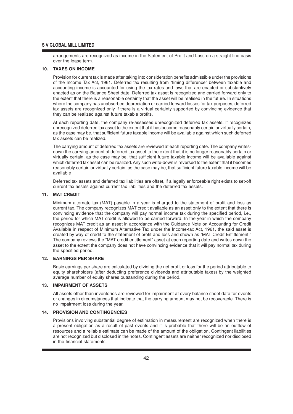arrangements are recognized as income in the Statement of Profit and Loss on a straight line basis over the lease term.

#### **10. TAXES ON INCOME**

Provision for current tax is made after taking into consideration benefits admissible under the provisions of the Income Tax Act, 1961. Deferred tax resulting from "timing difference" between taxable and accounting income is accounted for using the tax rates and laws that are enacted or substantively enacted as on the Balance Sheet date. Deferred tax asset is recognized and carried forward only to the extent that there is a reasonable certainty that the asset will be realised in the future. In situations where the company has unabsorbed depreciation or carried forward losses for tax purposes, deferred tax assets are recognized only if there is a virtual certainty supported by convincing evidence that they can be realized against future taxable profits.

At each reporting date, the company re-assesses unrecognized deferred tax assets. It recognizes unrecognized deferred tax asset to the extent that it has become reasonably certain or virtually certain, as the case may be, that sufficient future taxable income will be available against which such deferred tax assets can be realized.

The carrying amount of deferred tax assets are reviewed at each reporting date. The company writesdown the carrying amount of deferred tax asset to the extent that it is no longer reasonably certain or virtually certain, as the case may be, that sufficient future taxable income will be available against which deferred tax asset can be realized. Any such write-down is reversed to the extent that it becomes reasonably certain or virtually certain, as the case may be, that sufficient future taxable income will be available

Deferred tax assets and deferred tax liabilities are offset, if a legally enforceable right exists to set-off current tax assets against current tax liabilities and the deferred tax assets.

#### **11. MAT CREDIT**

Minimum alternate tax (MAT) payable in a year is charged to the statement of profit and loss as current tax. The company recognizes MAT credit available as an asset only to the extent that there is convincing evidence that the company will pay normal income tax during the specified period, i.e., the period for which MAT credit is allowed to be carried forward. In the year in which the company recognizes MAT credit as an asset in accordance with the Guidance Note on Accounting for Credit Available in respect of Minimum Alternative Tax under the Income-tax Act, 1961, the said asset is created by way of credit to the statement of profit and loss and shown as "MAT Credit Entitlement." The company reviews the "MAT credit entitlement" asset at each reporting date and writes down the asset to the extent the company does not have convincing evidence that it will pay normal tax during the specified period.

### **12. EARNINGS PER SHARE**

Basic earnings per share are calculated by dividing the net profit or loss for the period attributable to equity shareholders (after deducting preference dividends and attributable taxes) by the weighted average number of equity shares outstanding during the period.

### **13. IMPAIRMENT OF ASSETS**

All assets other than inventories are reviewed for impairment at every balance sheet date for events or changes in circumstances that indicate that the carrying amount may not be recoverable. There is no impairment loss during the year.

### **14. PROVISION AND CONTINGENCIES**

Provisions involving substantial degree of estimation in measurement are recognized when there is a present obligation as a result of past events and it is probable that there will be an outflow of resources and a reliable estimate can be made of the amount of the obligation. Contingent liabilities are not recognized but disclosed in the notes. Contingent assets are neither recognized nor disclosed in the financial statements.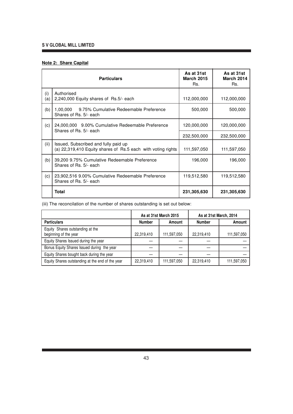### **Note 2: Share Capital**

|            | <b>Particulars</b>                                                                                   | As at 31st<br><b>March 2015</b><br>Rs. | As at 31st<br><b>March 2014</b><br>Rs. |
|------------|------------------------------------------------------------------------------------------------------|----------------------------------------|----------------------------------------|
| (i)<br>(a) | Authorised<br>2,240,000 Equity shares of Rs.5/- each                                                 | 112,000,000                            | 112,000,000                            |
| (b)        | 1,00,000 9.75% Cumulative Redeemable Preference<br>Shares of Rs. 5/- each                            | 500,000                                | 500,000                                |
| (c)        | 24,000,000 9.00% Cumulative Redeemable Preference<br>Shares of Rs. 5/- each                          | 120,000,000                            | 120,000,000                            |
|            |                                                                                                      | 232,500,000                            | 232,500,000                            |
| (ii)       | Issued, Subscribed and fully paid up<br>(a) 22,319,410 Equity shares of Rs.5 each with voting rights | 111,597,050                            | 111,597,050                            |
| (b)        | 39,200 9.75% Cumulative Redeemable Preference<br>Shares of Rs. 5/- each                              | 196,000                                | 196,000                                |
| (c)        | 23,902,516 9.00% Cumulative Redeemable Preference<br>Shares of Rs. 5/- each                          | 119,512,580                            | 119,512,580                            |
|            | <b>Total</b>                                                                                         | 231,305,630                            | 231.305.630                            |

(iii) The reconcilation of the number of shares outstanding is set out below:

|                                                           | As at 31st March 2015 |             | As at 31st March, 2014 |             |
|-----------------------------------------------------------|-----------------------|-------------|------------------------|-------------|
| <b>Particulars</b>                                        | <b>Number</b>         | Amount      | <b>Number</b>          | Amount      |
| Equity Shares outstanding at the<br>beginning of the year | 22,319,410            | 111,597,050 | 22,319,410             | 111,597,050 |
| Equity Shares Issued during the year                      |                       |             |                        |             |
| Bonus Equity Shares Issued during the year                |                       |             |                        |             |
| Equity Shares bought back during the year                 |                       |             |                        |             |
| Equity Shares outstanding at the end of the year          | 22,319,410            | 111,597,050 | 22,319,410             | 111,597,050 |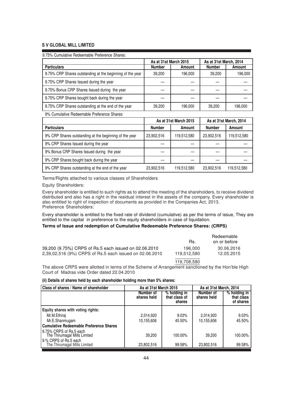|                                                           | As at 31st March 2015 |         | As at 31st March, 2014 |         |
|-----------------------------------------------------------|-----------------------|---------|------------------------|---------|
| <b>Particulars</b>                                        | <b>Number</b>         | Amount  | <b>Number</b>          | Amount  |
| 9.75% CRP Shares outstanding at the beginning of the year | 39,200                | 196,000 | 39,200                 | 196,000 |
| 9.75% CRP Shares Issued during the year                   |                       |         |                        |         |
| 9.75% Bonus CRP Shares Issued during the year             |                       |         |                        |         |
| 9.75% CRP Shares bought back during the year              |                       |         |                        |         |
| 9.75% CRP Shares outstanding at the end of the year       | 39,200                | 196,000 | 39.200                 | 196,000 |

9% Cumulative Redeemable Preference Shares:

|                                                        | As at 31st March 2015 |             |               | As at 31st March, 2014 |
|--------------------------------------------------------|-----------------------|-------------|---------------|------------------------|
| <b>Particulars</b>                                     | <b>Number</b>         | Amount      | <b>Number</b> | Amount                 |
| 9% CRP Shares outstanding at the beginning of the year | 23,902,516            | 119,512,580 | 23,902,516    | 119,512,580            |
| 9% CRP Shares Issued during the year                   |                       |             |               |                        |
| 9% Bonus CRP Shares Issued during the year             |                       |             |               |                        |
| 9% CRP Shares bought back during the year              |                       |             |               |                        |
| 9% CRP Shares outstanding at the end of the year       | 23,902,516            | 119,512,580 | 23,902,516    | 119,512,580            |

Terms/Rights attached to various classes of Shareholders

Equity Shareholders:

Every shareholder is entitled to such rights as to attend the meeting of the shareholders, to receive dividend distributed and also has a right in the residual interest in the assets of the company. Every shareholder is also entitled to right of inspection of documents as provided in the Companies Act, 2013. Preference Shareholders:

Every shareholder is entitled to the fixed rate of dividend (cumulative) as per the terms of issue, They are entitled to the capital in preference to the equity shareholders in case of liquidation.

### **Terms of Issue and redemption of Cumulative Redeemable Preference Shares: (CRPS)**

|                                                                                                                  | Rs.                    | Redeemable<br>on or before |
|------------------------------------------------------------------------------------------------------------------|------------------------|----------------------------|
| 39,200 (9.75%) CRPS of Rs.5 each issued on 02.06.2010<br>2,39,02,516 (9%) CRPS of Rs.5 each issued on 02.06.2010 | 196.000<br>119.512.580 | 30.06.2016<br>12.05.2015   |
|                                                                                                                  | 119,708,580            |                            |

The above CRPS were allotted in terms of the Scheme of Arrangement sanctioned by the Hon'ble High Court of Madras vide Order dated 22.04.2010

#### **(ii) Details of shares held by each shareholder holding more than 5% shares:**

| Class of shares / Name of shareholder                    | As at 31st March 2015    |                                         | As at 31st March, 2014   |                                           |
|----------------------------------------------------------|--------------------------|-----------------------------------------|--------------------------|-------------------------------------------|
|                                                          | Number of<br>shares held | % holding in<br>that class of<br>shares | Number of<br>shares held | $%$ holding in<br>that class<br>of shares |
| Equity shares with voting rights:                        |                          |                                         |                          |                                           |
| Mr.M.Ethirai                                             | 2,014,920                | 9.03%                                   | 2,014,920                | 9.03%                                     |
| Mr.E.Shanmugam                                           | 10,155,606               | 45.50%                                  | 10,155,606               | 45.50%                                    |
| <b>Cumulative Redeemable Preference Shares</b>           |                          |                                         |                          |                                           |
| 19.75% CRPS of Rs.5 each<br>The Thirumagal Mills Limited | 39,200                   | 100.00%                                 | 39.200                   | 100.00%                                   |
| 19.% CRPS of Rs.5 each<br>The Thirumagal Mills Limited   | 23,802,516               | 99.58%                                  | 23,802,516               | 99.58%                                    |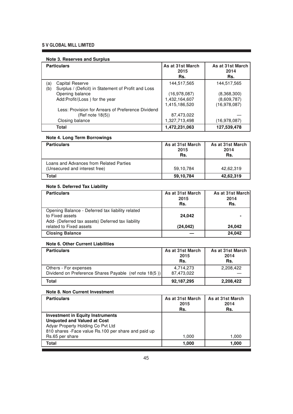### **Note 3. Reserves and Surplus**

| <b>Particulars</b>                                         | As at 31st March<br>2015<br>Rs. | As at 31st March<br>2014<br>Rs. |
|------------------------------------------------------------|---------------------------------|---------------------------------|
| Capital Reserve<br>(a)                                     | 144,517,565                     | 144,517,565                     |
| Surplus / (Deficit) in Statement of Profit and Loss<br>(b) |                                 |                                 |
| Opening balance                                            | (16,978,087)                    | (8,368,300)                     |
| Add:Profit/(Loss) for the year                             | 1,432,164,607                   | (8,609,787)                     |
|                                                            | 1,415,186,520                   | (16,978,087)                    |
| Less: Provision for Arrears of Preference Dividend         |                                 |                                 |
| (Ref note 18(5))                                           | 87,473,022                      |                                 |
| Closing balance                                            | 1,327,713,498                   | (16,978,087)                    |
| Total                                                      | 1,472,231,063                   | 127,539,478                     |

### **Note 4. Long Term Borrowings**

| <b>Particulars</b>                                                       | As at 31st March<br>2015<br>Rs. | As at 31st March<br>2014<br>Rs. |
|--------------------------------------------------------------------------|---------------------------------|---------------------------------|
| Loans and Advances from Related Parties<br>(Unsecured and interest free) | 59,10,784                       | 42,62,319                       |
| Total                                                                    | 59,10,784                       | 42,62,319                       |

### **Note 5. Deferred Tax Liability**

| <b>Particulars</b>                                                                                                       | As at 31st March<br>2015<br>Rs. | As at 31st March<br>2014<br>Rs. |
|--------------------------------------------------------------------------------------------------------------------------|---------------------------------|---------------------------------|
| Opening Balance - Deferred tax liability related<br>to Fixed assets<br>Add- (Deferred tax assets) Deferred tax liability | 24.042                          |                                 |
| related to Fixed assets                                                                                                  | (24, 042)                       | 24.042                          |
| <b>Closing Balance</b>                                                                                                   |                                 | 24.042                          |

### **Note 6. Other Current Liabilities**

| <b>Particulars</b>                                     | As at 31st March<br>2015<br>Rs. | As at 31st March<br>2014<br>Rs. |
|--------------------------------------------------------|---------------------------------|---------------------------------|
| Others - For expenses                                  | 4.714.273                       | 2,208,422                       |
| Dividend on Preference Shares Payable (ref note 18(5)) | 87,473,022                      |                                 |
| Total                                                  | 92,187,295                      | 2,208,422                       |

### **Note 8. Non Current Investment**

| <b>Particulars</b>                                                                                                                                                                            | As at 31st March<br>2015<br>Rs. | As at 31st March<br>2014<br>Rs. |
|-----------------------------------------------------------------------------------------------------------------------------------------------------------------------------------------------|---------------------------------|---------------------------------|
| <b>Investment in Equity Instruments</b><br><b>Unquoted and Valued at Cost</b><br>Adyar Property Holding Co Pvt Ltd<br>810 shares - Face value Rs.100 per share and paid up<br>Rs.65 per share | 1.000                           | 1.000                           |
| <b>Total</b>                                                                                                                                                                                  | 1.000                           | 1,000                           |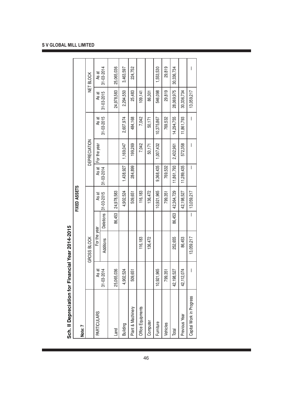| Sch. Il Depreciation for Financial Year 2014-2015 |                          |              |                          |              |                                |                     |                          |                  |                  |
|---------------------------------------------------|--------------------------|--------------|--------------------------|--------------|--------------------------------|---------------------|--------------------------|------------------|------------------|
| Note: 7                                           |                          |              |                          | FIXED ASSETS |                                |                     |                          |                  |                  |
|                                                   |                          | GROSS BLOCK  |                          |              |                                | <b>DEPRECIATION</b> |                          |                  | NET BLOCK        |
| <b>PARTICULARS</b>                                | As at                    | For the year |                          | As at        | As at                          | For the year        | As at                    | ಹ<br>As i        | As at            |
|                                                   | 31-03-2014               | Additions    | <b>Deletions</b>         | 31-03-2015   | $31 - 03 - 2014$               |                     | $31 - 03 - 2015$         | $31 - 03 - 2015$ | $31 - 03 - 2014$ |
| Land                                              | 25,065,036               |              | 86,453                   | 24,978,583   |                                |                     |                          | 24,978,583       | 25,065,036       |
| Building                                          | 524<br>4.902             |              |                          | 4,902,524    | 1,438,927                      | 1,169,047           | 2,607,974                | 2,294,550        | 3,463,597        |
| Plant & Machinery                                 | 551<br>503               |              |                          | 509,651      | 284,899                        | 199,269             | 484,168                  | 25,483           | 224,752          |
| Office Equipments                                 |                          | 116,183      |                          | 116,183      |                                | 7,042               | 7,042                    | 109,141          |                  |
| Computer                                          |                          | 136,472      |                          | 136,472      |                                | 50,171              | 50,171                   | 86,301           |                  |
| Furniture                                         | 965<br>10,921            |              |                          | 10,921,965   | 9,368,435                      | 1,007,432           | 10,375,867               | 546,098          | ,553,530         |
| Vehicles                                          | -351<br>799              |              |                          | 799,351      | 769,532                        |                     | 769,532                  | 29,819           | 29,819           |
| Total                                             | 527<br>42,198            | 252,655      | 86,453                   | 42,364,729   | 11,861,793                     | 2,432,961           | 14,294,755               | 28,069,975       | 30,336,734       |
| Previous Year                                     | 2,074<br>42,112          | 86,453       |                          | 42,198,527   | 11,289,435                     | 572,358             | 11,861,793               | 30,336,734       |                  |
| Capital Work in Progress                          | $\overline{\phantom{a}}$ | 13,059,217   | $\overline{\phantom{a}}$ | 13,059,217   | $\begin{array}{c} \end{array}$ | I                   | $\overline{\phantom{a}}$ | 13,059,217       | I                |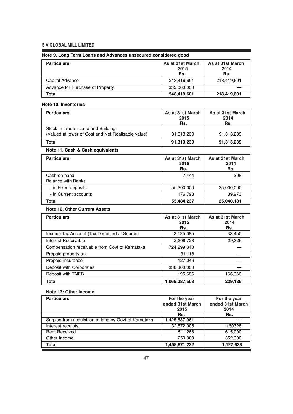| Note 9. Long Term Loans and Advances unsecured considered good |                                 |                                 |
|----------------------------------------------------------------|---------------------------------|---------------------------------|
| <b>Particulars</b>                                             | As at 31st March<br>2015<br>Rs. | As at 31st March<br>2014<br>Rs. |
| Capital Advance                                                | 213,419,601                     | 218,419,601                     |
| Advance for Purchase of Property                               | 335,000,000                     |                                 |
| Total                                                          | 548,419,601                     | 218,419,601                     |

### **Note 10. Inventories**

| <b>Particulars</b>                                                                        | As at 31st March<br>2015 | As at 31st March<br>2014 |
|-------------------------------------------------------------------------------------------|--------------------------|--------------------------|
| Stock In Trade - Land and Building.<br>(Valued at lower of Cost and Net Realisable value) | Rs.<br>91,313,239        | Rs.<br>91.313.239        |
| Total                                                                                     | 91,313,239               | 91,313,239               |

### **Note 11. Cash & Cash equivalents**

| <b>Particulars</b>                        | As at 31st March<br>2015<br>Rs. | As at 31st March<br>2014<br>Rs. |
|-------------------------------------------|---------------------------------|---------------------------------|
| Cash on hand<br><b>Balance with Banks</b> | 7.444                           | 208                             |
| - in Fixed deposits                       | 55,300,000                      | 25,000,000                      |
| - in Current accounts                     | 176,793                         | 39,973                          |
| Total                                     | 55,484,237                      | 25,040,181                      |

### **Note 12. Other Current Assets**

| <b>Particulars</b>                             | As at 31st March<br>2015<br>Rs. | As at 31st March<br>2014<br>Rs. |
|------------------------------------------------|---------------------------------|---------------------------------|
| Income Tax Account (Tax Deducted at Source)    | 2,125,085                       | 33,450                          |
| Interest Receivable                            | 2,208,728                       | 29,326                          |
| Compensation receivable from Govt of Karnataka | 724,299,840                     |                                 |
| Prepaid property tax                           | 31,118                          |                                 |
| Prepaid insurance                              | 127,046                         |                                 |
| Deposit with Corporates                        | 336,300,000                     |                                 |
| Deposit with TNEB                              | 195,686                         | 166,360                         |
| <b>Total</b>                                   | 1.065.287.503                   | 229.136                         |

### **Note 13: Other Income**

| <b>Particulars</b>                                    | For the year     | For the year     |
|-------------------------------------------------------|------------------|------------------|
|                                                       | ended 31st March | ended 31st March |
|                                                       | 2015             | 2014             |
|                                                       | Rs.              | Rs.              |
| Surplus from acquisition of land by Govt of Karnataka | 1,425,537,961    |                  |
| Interest receipts                                     | 32,572,005       | 160328           |
| <b>Rent Received</b>                                  | 511,266          | 615,000          |
| Other Income                                          | 250,000          | 352,300          |
| <b>Total</b>                                          | 1,458,871,232    | 1,127,628        |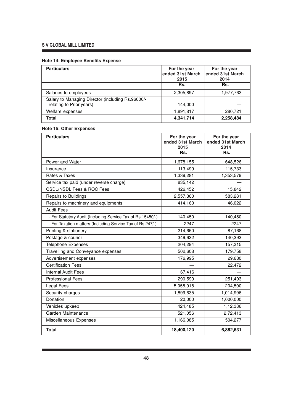### **Note 14: Employee Benefits Expense**

| <b>Particulars</b>                                                            | For the year<br>lended 31st March<br>2015 | For the year<br>ended 31st March<br>2014 |
|-------------------------------------------------------------------------------|-------------------------------------------|------------------------------------------|
|                                                                               | Rs.                                       | Rs.                                      |
| Salaries to employees                                                         | 2,305,897                                 | 1,977,763                                |
| Salary to Managing Director (including Rs.96000/-<br>relating to Prior years) | 144,000                                   |                                          |
| Welfare expenses                                                              | 1,891,817                                 | 280,721                                  |
| <b>Total</b>                                                                  | 4,341,714                                 | 2,258,484                                |

### **Note 15: Other Expenses**

| <b>Particulars</b>                                          | For the year<br>ended 31st March<br>2015<br>Rs. | For the year<br>ended 31st March<br>2014<br>Rs. |
|-------------------------------------------------------------|-------------------------------------------------|-------------------------------------------------|
| Power and Water                                             | 1,678,155                                       | 648,526                                         |
| Insurance                                                   | 113,499                                         | 115,733                                         |
| Rates & Taxes                                               | 1,339,281                                       | 1,353,579                                       |
| Service tax paid (under reverse charge)                     | 835,142                                         |                                                 |
| <b>CSDL/NSDL Fees &amp; ROC Fees</b>                        | 426,452                                         | 15,842                                          |
| Repairs to Buildings                                        | 2,557,360                                       | 583,281                                         |
| Repairs to machinery and equipments                         | 414,160                                         | 46,022                                          |
| <b>Audit Fees</b>                                           |                                                 |                                                 |
| - For Statutory Audit (Including Service Tax of Rs.15450/-) | 140,450                                         | 140,450                                         |
| - For Taxation matters (Including Service Tax of Rs.247/-)  | 2247                                            | 2247                                            |
| Printing & stationery                                       | 214,660                                         | 87,168                                          |
| Postage & courier                                           | 349,632                                         | 140,393                                         |
| Telephone Expenses                                          | 204,294                                         | 157,315                                         |
| Travelling and Conveyance expenses                          | 502,608                                         | 179,758                                         |
| Advertisement expenses                                      | 176,995                                         | 29,680                                          |
| <b>Certification Fees</b>                                   |                                                 | 22,472                                          |
| <b>Internal Audit Fees</b>                                  | 67,416                                          |                                                 |
| <b>Professional Fees</b>                                    | 290,590                                         | 251,493                                         |
| <b>Legal Fees</b>                                           | 5,055,918                                       | 204,500                                         |
| Security charges                                            | 1,899,635                                       | 1,014,996                                       |
| Donation                                                    | 20,000                                          | 1,000,000                                       |
| Vehicles upkeep                                             | 424,485                                         | 1,12,386                                        |
| Garden Maintenance                                          | 521,056                                         | 2,72,413                                        |
| Miscellaneous Expenses                                      | 1,166,085                                       | 504,277                                         |
| <b>Total</b>                                                | 18,400,120                                      | 6,882,531                                       |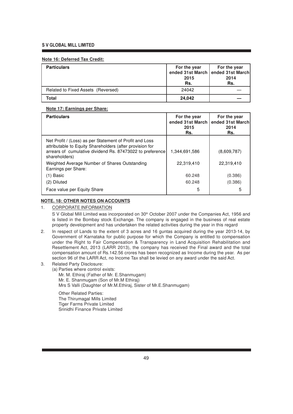### **Note 16: Deferred Tax Credit:**

| <b>Particulars</b>                 | For the year<br>2015<br>Rs. | For the year<br>ended 31st March   ended 31st March<br>2014<br>Rs. |
|------------------------------------|-----------------------------|--------------------------------------------------------------------|
| Related to Fixed Assets (Reversed) | 24042                       |                                                                    |
| Total                              | 24.042                      |                                                                    |

### **Note 17: Earnings per Share:**

| <b>Particulars</b>                                                                                                                                                                                | For the year<br>ended 31st March<br>2015<br>Rs. | For the year<br>ended 31st March<br>2014<br>Rs. |
|---------------------------------------------------------------------------------------------------------------------------------------------------------------------------------------------------|-------------------------------------------------|-------------------------------------------------|
| Net Profit / (Loss) as per Statement of Profit and Loss<br>attributable to Equity Shareholders (after provision for<br>arrears of cumulative dividend Rs. 87473022 to preference<br>shareholders) | 1,344,691,586                                   | (8,609,787)                                     |
| Weighted Average Number of Shares Outstanding<br>Earnings per Share:                                                                                                                              | 22,319,410                                      | 22,319,410                                      |
| (1) Basic                                                                                                                                                                                         | 60.248                                          | (0.386)                                         |
| (2) Diluted                                                                                                                                                                                       | 60.248                                          | (0.386)                                         |
| Face value per Equity Share                                                                                                                                                                       | 5                                               | 5                                               |

### **NOTE. 18: OTHER NOTES ON ACCOUNTS**

1. CORPORATE INFORMATION

S V Global Mill Limited was incorporated on 30<sup>th</sup> October 2007 under the Companies Act, 1956 and is listed in the Bombay stock Exchange. The company is engaged in the business of real estate property development and has undertaken the related activities during the year in this regard

2. In respect of Lands to the extent of 3 acres and 16 guntas acquired during the year 2013-14, by Government of Karnataka for public purpose for which the Company is entitled to compensation under the Right to Fair Compensation & Transparency in Land Acquisition Rehabilitation and Resettlement Act, 2013 (LARR 2013), the company has received the Final award and the total compensation amount of Rs.142.56 crores has been recognized as Income during the year. As per section 96 of the LARR Act, no Income Tax shall be levied on any award under the said Act.

#### 3. Related Party Disclosure:

(a) Parties where control exists:

Mr. M. Ethiraj (Father of Mr. E.Shanmugam) Mr. E. Shanmugam (Son of Mr.M Ethiraj)

Mrs S Valli (Daughter of Mr.M.Ethiraj, Sister of Mr.E.Shanmugam)

Other Related Parties: The Thirumagal Mills Limited Tiger Farms Private Limited Srinidhi Finance Private Limited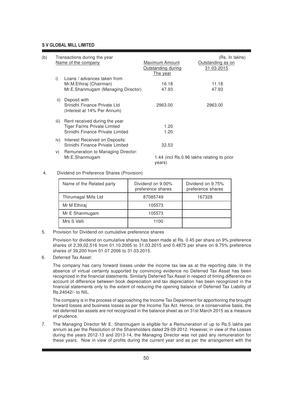| (b) |                     | Transactions during the year                 |                    | (Rs. In lakhs)                             |
|-----|---------------------|----------------------------------------------|--------------------|--------------------------------------------|
|     | Name of the company |                                              | Maximum Amount     | Outstanding as on                          |
|     |                     |                                              | Outstanding during | 31-03-2015                                 |
|     |                     |                                              | The year           |                                            |
|     | i)                  | Loans / advances taken from                  |                    |                                            |
|     |                     | Mr.M.Ethiraj (Chairman)                      | 16.18              | 11.18                                      |
|     |                     | Mr.E.Shanmugam (Managing Director)           | 47.93              | 47.93                                      |
|     | ii)                 | Deposit with<br>Srinidhi Finance Private Ltd | 2963.00            | 2963.00                                    |
|     |                     | (Interest at 14% Per Annum)                  |                    |                                            |
|     |                     | iii) Rent received during the year           |                    |                                            |
|     |                     | <b>Tiger Farms Private Limited</b>           | 1.20               |                                            |
|     |                     | Srinidhi Finance Private Limited             | 1.20               |                                            |
|     | iv)                 | Interest Received on Deposits:               |                    |                                            |
|     |                     | Srinidhi Finance Private Limited             | 32.53              |                                            |
|     | V)                  | Remuneration to Managing Director:           |                    |                                            |
|     |                     | Mr.E.Shanmugam                               | years)             | 1.44 (incl Rs.0.96 lakhs relating to prior |

#### 4. Dividend on Preference Shares (Provision)

| Name of the Related party | Dividend on 9.00%<br>preference shares | Dividend on 9.75%<br>preference shares |
|---------------------------|----------------------------------------|----------------------------------------|
| Thirumagal Mills Ltd      | 87085749                               | 167328                                 |
| Mr M Ethirai              | 105573                                 |                                        |
| Mr E Shanmugam            | 105573                                 |                                        |
| Mrs S Valli               | 1100                                   |                                        |

5. Provision for Dividend on cumulative preference shares

Provision for dividend on cumulative shares has been made at Rs. 0.45 per share on 9% preference shares of 2,39,02,516 from 01.10.2005 to 31.03.2015 and 0.4875 per share on 9.75% preference shares of 39,200 from 01.07.2006 to 31.03.2015.

6. Deferred Tax Asset:

The company has carry forward losses under the income tax law as at the reporting date. In the absence of virtual certainty supported by convincing evidence no Deferred Tax Asset has been recognized in the financial statements. Similarly Deferred Tax Asset in respect of timing difference on account of difference between book depreciation and tax depreciation has been recognized in the financial statements only to the extent of reducing the opening balance of Deferred Tax Liability of Rs.24042/- to NIL.

The company is in the process of approaching the Income Tax Department for apportioning the brought forward losses and business losses as per the Income Tax Act. Hence, on a conservative basis, the net deferred tax assets are not recognized in the balance sheet as on 31st March 2015 as a measure of prudence.

7. The Managing Director Mr E. Shanmugam is eligible for a Remuneration of up to Rs.5 lakhs per annum as per the Resolution of the Shareholders dated 29-09-2012. However, in view of the Losses during the years 2012-13 and 2013-14, the Managing Director was not paid any remuneration for these years. Now in view of profits during the current year and as per the arrangement with the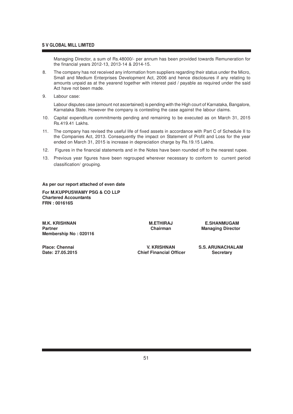Managing Director, a sum of Rs.48000/- per annum has been provided towards Remuneration for the financial years 2012-13, 2013-14 & 2014-15.

- 8. The company has not received any information from suppliers regarding their status under the Micro, Small and Medium Enterprises Development Act, 2006 and hence disclosures if any relating to amounts unpaid as at the yearend together with interest paid / payable as required under the said Act have not been made.
- 9. Labour case:

Labour disputes case (amount not ascertained) is pending with the High court of Karnataka, Bangalore, Karnataka State. However the company is contesting the case against the labour claims.

- 10. Capital expenditure commitments pending and remaining to be executed as on March 31, 2015 Rs.419.41 Lakhs.
- 11. The company has revised the useful life of fixed assets in accordance with Part C of Schedule II to the Companies Act, 2013. Consequently the impact on Statement of Profit and Loss for the year ended on March 31, 2015 is increase in depreciation charge by Rs.19.15 Lakhs.
- 12. Figures in the financial statements and in the Notes have been rounded off to the nearest rupee.
- 13. Previous year figures have been regrouped wherever necessary to conform to current period classification/ grouping.

#### **As per our report attached of even date**

**For M.KUPPUSWAMY PSG & CO LLP Chartered Accountants FRN : 001616S**

**M.K. KRISHNAN M.ETHIRAJ E.SHANMUGAM Membership No : 020116**

**Managing Director** 

**Place: Chennai V. KRISHNAN S.S. ARUNACHALAM Date: 27.05.2015 Chief Financial Officer Secretary**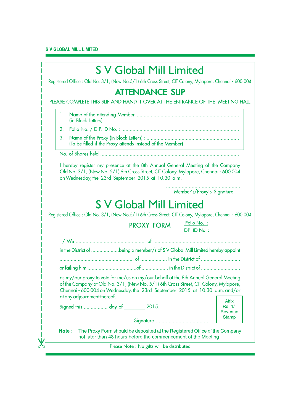|       | <b>ATTENDANCE SLIP</b>                                                                                                                                                                                                                                       |                                    |
|-------|--------------------------------------------------------------------------------------------------------------------------------------------------------------------------------------------------------------------------------------------------------------|------------------------------------|
|       | PLEASE COMPLETE THIS SLIP AND HAND IT OVER AT THE ENTRANCE OF THE MEETING HALL                                                                                                                                                                               |                                    |
|       | (in Block Letters)                                                                                                                                                                                                                                           |                                    |
| $2 -$ |                                                                                                                                                                                                                                                              |                                    |
| 3.    | (To be filled if the Proxy attends instead of the Member)                                                                                                                                                                                                    |                                    |
|       |                                                                                                                                                                                                                                                              |                                    |
|       | I hereby register my presence at the 8th Annual General Meeting of the Company<br>Old No. 3/1, (New No. 5/1) 6th Cross Street, CIT Colony, Mylapore, Chennai - 600 004<br>on Wednesday, the 23rd September 2015 at 10.30 a.m.                                |                                    |
|       |                                                                                                                                                                                                                                                              |                                    |
|       |                                                                                                                                                                                                                                                              | Member's/Proxy's Signature         |
|       | <b>S V Global Mill Limited</b><br>Registered Office: Old No. 3/1, (New No.5/1) 6th Cross Street, CIT Colony, Mylapore, Chennai - 600 004                                                                                                                     | Folio No.:                         |
|       | <b>PROXY FORM</b>                                                                                                                                                                                                                                            | DP ID No.:                         |
|       |                                                                                                                                                                                                                                                              |                                    |
|       | in the District of being a member/s of SV Global Mill Limited hereby appoint                                                                                                                                                                                 |                                    |
|       |                                                                                                                                                                                                                                                              |                                    |
|       |                                                                                                                                                                                                                                                              |                                    |
|       | as my/our proxy to vote for me/us on my/our behalf at the 8th Annual General Meeting<br>of the Company at Old No. 3/1, (New No. 5/1) 6th Cross Street, CIT Colony, Mylapore,<br>Chennai - 600 004 on Wednesday, the 23rd September 2015 at 10.30 a.m. and/or |                                    |
|       | at any adjournment thereof.<br>Signed this  day of ___________ 2015.                                                                                                                                                                                         | <b>Affix</b><br>Re. 1/-<br>Revenue |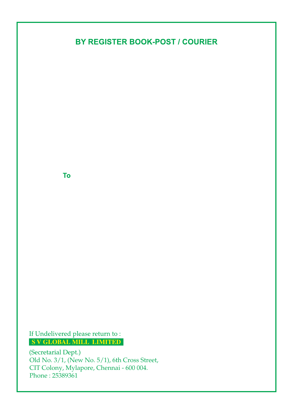## **BY REGISTER BOOK-POST / COURIER**

**To** 

If Undelivered please return to : SV GLOBAL MILL LIMITED

(Secretarial Dept.) Old No. 3/1, (New No. 5/1), 6th Cross Street, CIT Colony, Mylapore, Chennai - 600 004. Phone : 25389361